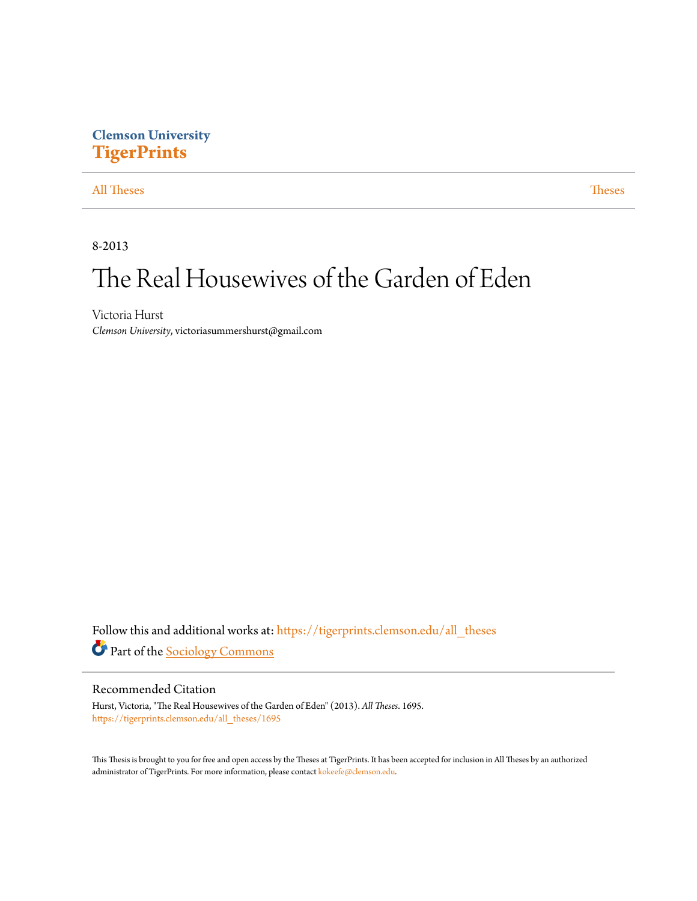# **Clemson University [TigerPrints](https://tigerprints.clemson.edu?utm_source=tigerprints.clemson.edu%2Fall_theses%2F1695&utm_medium=PDF&utm_campaign=PDFCoverPages)**

### [All Theses](https://tigerprints.clemson.edu/all_theses?utm_source=tigerprints.clemson.edu%2Fall_theses%2F1695&utm_medium=PDF&utm_campaign=PDFCoverPages) **[Theses](https://tigerprints.clemson.edu/theses?utm_source=tigerprints.clemson.edu%2Fall_theses%2F1695&utm_medium=PDF&utm_campaign=PDFCoverPages)**

8-2013

# The Real Housewives of the Garden of Eden

Victoria Hurst *Clemson University*, victoriasummershurst@gmail.com

Follow this and additional works at: [https://tigerprints.clemson.edu/all\\_theses](https://tigerprints.clemson.edu/all_theses?utm_source=tigerprints.clemson.edu%2Fall_theses%2F1695&utm_medium=PDF&utm_campaign=PDFCoverPages) Part of the [Sociology Commons](http://network.bepress.com/hgg/discipline/416?utm_source=tigerprints.clemson.edu%2Fall_theses%2F1695&utm_medium=PDF&utm_campaign=PDFCoverPages)

### Recommended Citation

Hurst, Victoria, "The Real Housewives of the Garden of Eden" (2013). *All Theses*. 1695. [https://tigerprints.clemson.edu/all\\_theses/1695](https://tigerprints.clemson.edu/all_theses/1695?utm_source=tigerprints.clemson.edu%2Fall_theses%2F1695&utm_medium=PDF&utm_campaign=PDFCoverPages)

This Thesis is brought to you for free and open access by the Theses at TigerPrints. It has been accepted for inclusion in All Theses by an authorized administrator of TigerPrints. For more information, please contact [kokeefe@clemson.edu](mailto:kokeefe@clemson.edu).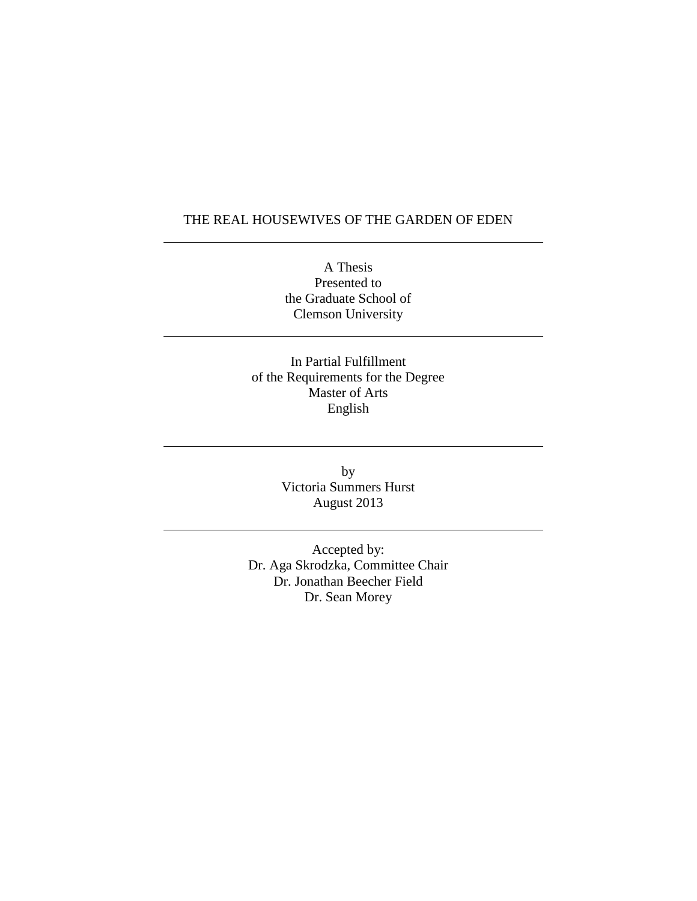## THE REAL HOUSEWIVES OF THE GARDEN OF EDEN

A Thesis Presented to the Graduate School of Clemson University

In Partial Fulfillment of the Requirements for the Degree Master of Arts English

> by Victoria Summers Hurst August 2013

Accepted by: Dr. Aga Skrodzka, Committee Chair Dr. Jonathan Beecher Field Dr. Sean Morey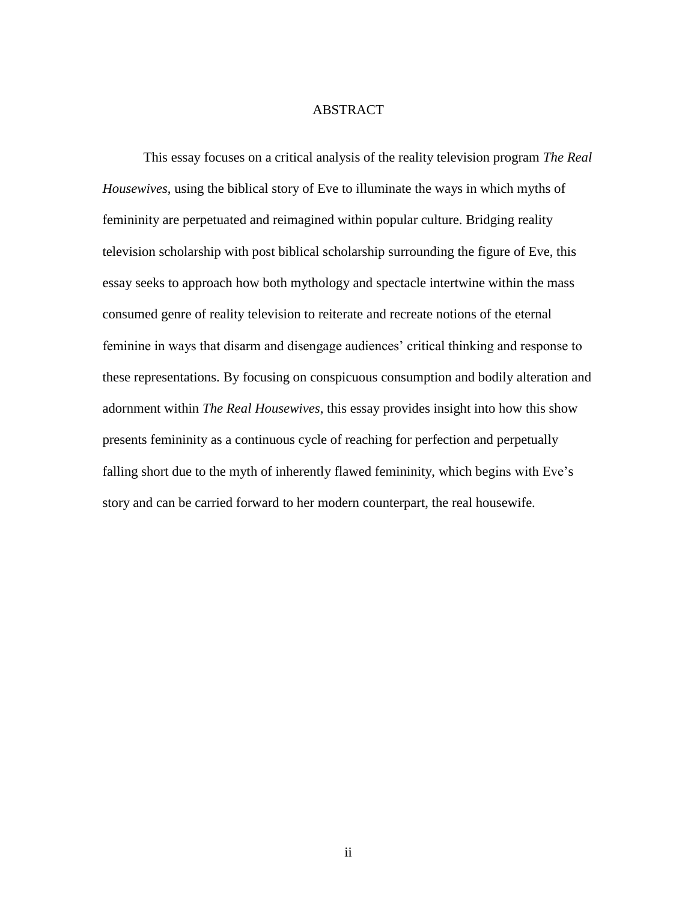### ABSTRACT

This essay focuses on a critical analysis of the reality television program *The Real Housewives*, using the biblical story of Eve to illuminate the ways in which myths of femininity are perpetuated and reimagined within popular culture. Bridging reality television scholarship with post biblical scholarship surrounding the figure of Eve, this essay seeks to approach how both mythology and spectacle intertwine within the mass consumed genre of reality television to reiterate and recreate notions of the eternal feminine in ways that disarm and disengage audiences' critical thinking and response to these representations. By focusing on conspicuous consumption and bodily alteration and adornment within *The Real Housewives*, this essay provides insight into how this show presents femininity as a continuous cycle of reaching for perfection and perpetually falling short due to the myth of inherently flawed femininity, which begins with Eve's story and can be carried forward to her modern counterpart, the real housewife.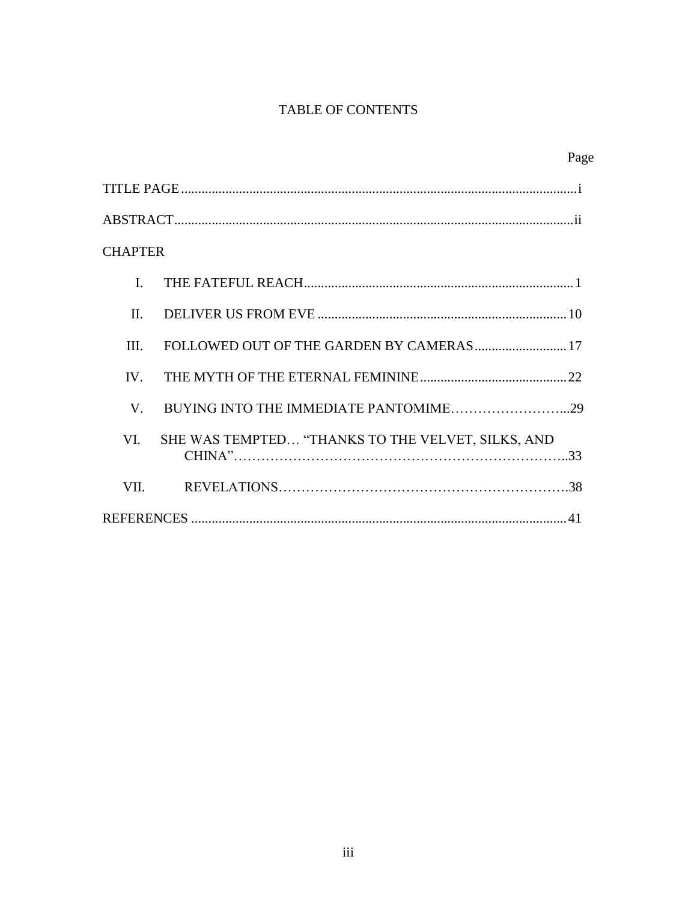# TABLE OF CONTENTS

|                |                                                   | Page |
|----------------|---------------------------------------------------|------|
|                |                                                   |      |
|                |                                                   |      |
| <b>CHAPTER</b> |                                                   |      |
| $\mathbf{I}$ . |                                                   |      |
| $\Pi$          |                                                   |      |
| Ш              |                                                   |      |
| $IV_{-}$       |                                                   |      |
| V.             |                                                   |      |
| VI.            | SHE WAS TEMPTED "THANKS TO THE VELVET, SILKS, AND |      |
| VII.           |                                                   |      |
|                |                                                   |      |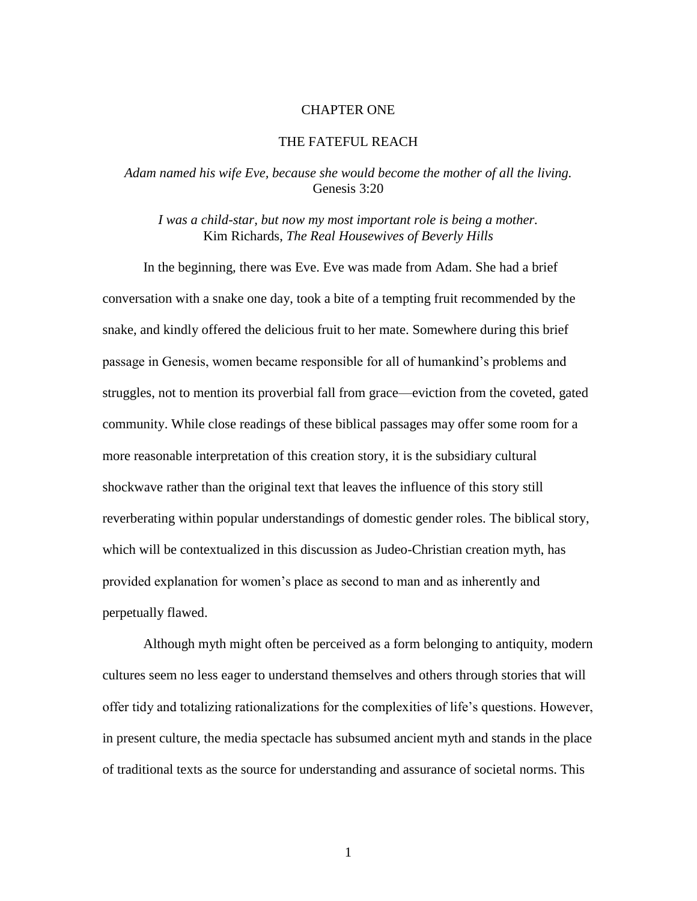#### CHAPTER ONE

#### THE FATEFUL REACH

#### *Adam named his wife Eve, because she would become the mother of all the living.* Genesis 3:20

*I was a child-star, but now my most important role is being a mother.* Kim Richards, *The Real Housewives of Beverly Hills*

In the beginning, there was Eve. Eve was made from Adam. She had a brief conversation with a snake one day, took a bite of a tempting fruit recommended by the snake, and kindly offered the delicious fruit to her mate. Somewhere during this brief passage in Genesis, women became responsible for all of humankind's problems and struggles, not to mention its proverbial fall from grace—eviction from the coveted, gated community. While close readings of these biblical passages may offer some room for a more reasonable interpretation of this creation story, it is the subsidiary cultural shockwave rather than the original text that leaves the influence of this story still reverberating within popular understandings of domestic gender roles. The biblical story, which will be contextualized in this discussion as Judeo-Christian creation myth, has provided explanation for women's place as second to man and as inherently and perpetually flawed.

Although myth might often be perceived as a form belonging to antiquity, modern cultures seem no less eager to understand themselves and others through stories that will offer tidy and totalizing rationalizations for the complexities of life's questions. However, in present culture, the media spectacle has subsumed ancient myth and stands in the place of traditional texts as the source for understanding and assurance of societal norms. This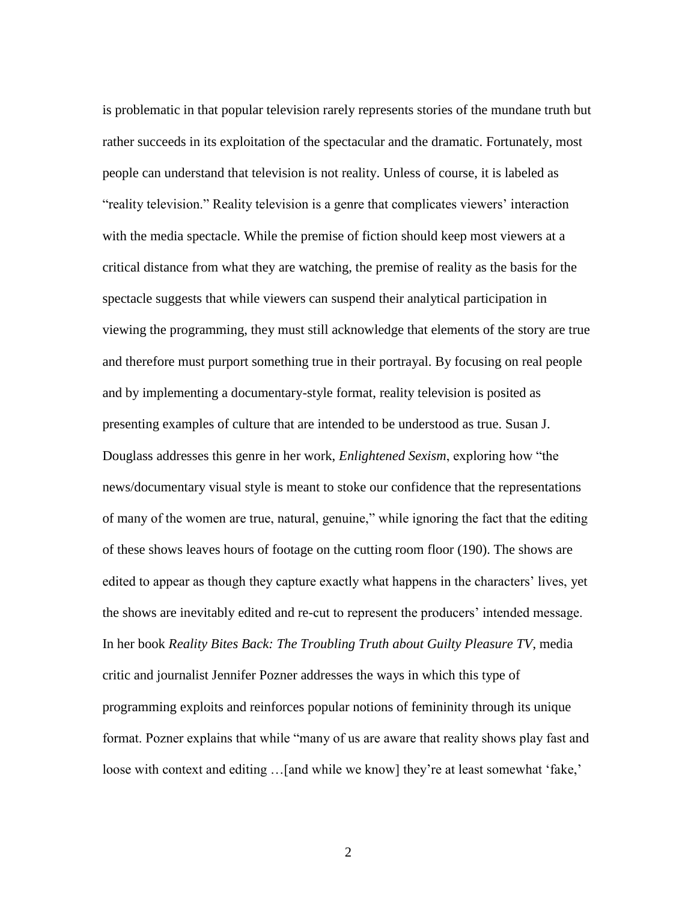is problematic in that popular television rarely represents stories of the mundane truth but rather succeeds in its exploitation of the spectacular and the dramatic. Fortunately, most people can understand that television is not reality. Unless of course, it is labeled as "reality television." Reality television is a genre that complicates viewers' interaction with the media spectacle. While the premise of fiction should keep most viewers at a critical distance from what they are watching, the premise of reality as the basis for the spectacle suggests that while viewers can suspend their analytical participation in viewing the programming, they must still acknowledge that elements of the story are true and therefore must purport something true in their portrayal. By focusing on real people and by implementing a documentary-style format, reality television is posited as presenting examples of culture that are intended to be understood as true. Susan J. Douglass addresses this genre in her work, *Enlightened Sexism*, exploring how "the news/documentary visual style is meant to stoke our confidence that the representations of many of the women are true, natural, genuine," while ignoring the fact that the editing of these shows leaves hours of footage on the cutting room floor (190). The shows are edited to appear as though they capture exactly what happens in the characters' lives, yet the shows are inevitably edited and re-cut to represent the producers' intended message. In her book *Reality Bites Back: The Troubling Truth about Guilty Pleasure TV*, media critic and journalist Jennifer Pozner addresses the ways in which this type of programming exploits and reinforces popular notions of femininity through its unique format. Pozner explains that while "many of us are aware that reality shows play fast and loose with context and editing ... [and while we know] they're at least somewhat 'fake,'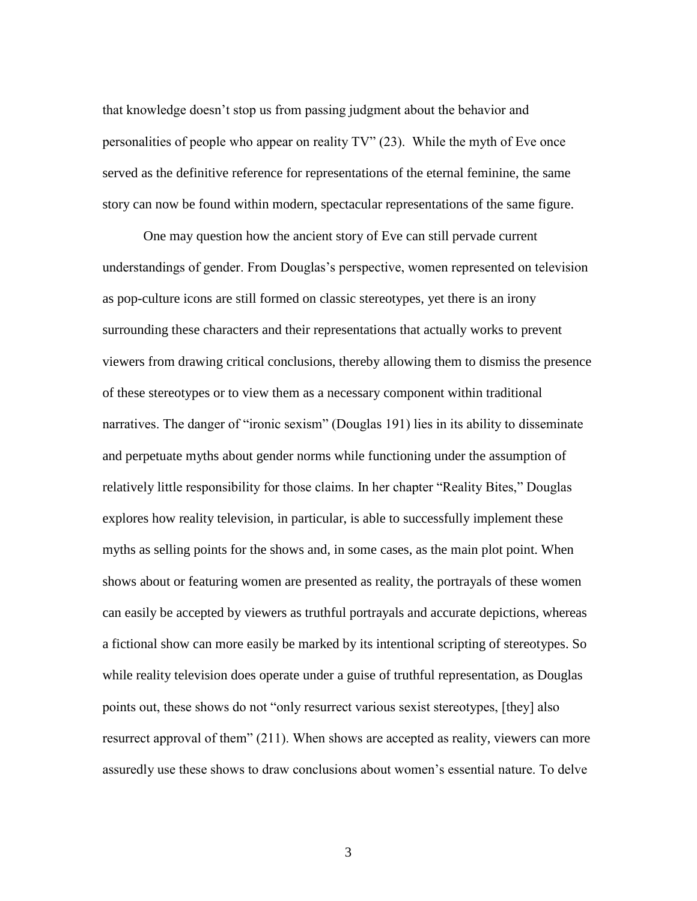that knowledge doesn't stop us from passing judgment about the behavior and personalities of people who appear on reality TV" (23). While the myth of Eve once served as the definitive reference for representations of the eternal feminine, the same story can now be found within modern, spectacular representations of the same figure.

One may question how the ancient story of Eve can still pervade current understandings of gender. From Douglas's perspective, women represented on television as pop-culture icons are still formed on classic stereotypes, yet there is an irony surrounding these characters and their representations that actually works to prevent viewers from drawing critical conclusions, thereby allowing them to dismiss the presence of these stereotypes or to view them as a necessary component within traditional narratives. The danger of "ironic sexism" (Douglas 191) lies in its ability to disseminate and perpetuate myths about gender norms while functioning under the assumption of relatively little responsibility for those claims. In her chapter "Reality Bites," Douglas explores how reality television, in particular, is able to successfully implement these myths as selling points for the shows and, in some cases, as the main plot point. When shows about or featuring women are presented as reality, the portrayals of these women can easily be accepted by viewers as truthful portrayals and accurate depictions, whereas a fictional show can more easily be marked by its intentional scripting of stereotypes. So while reality television does operate under a guise of truthful representation, as Douglas points out, these shows do not "only resurrect various sexist stereotypes, [they] also resurrect approval of them" (211). When shows are accepted as reality, viewers can more assuredly use these shows to draw conclusions about women's essential nature. To delve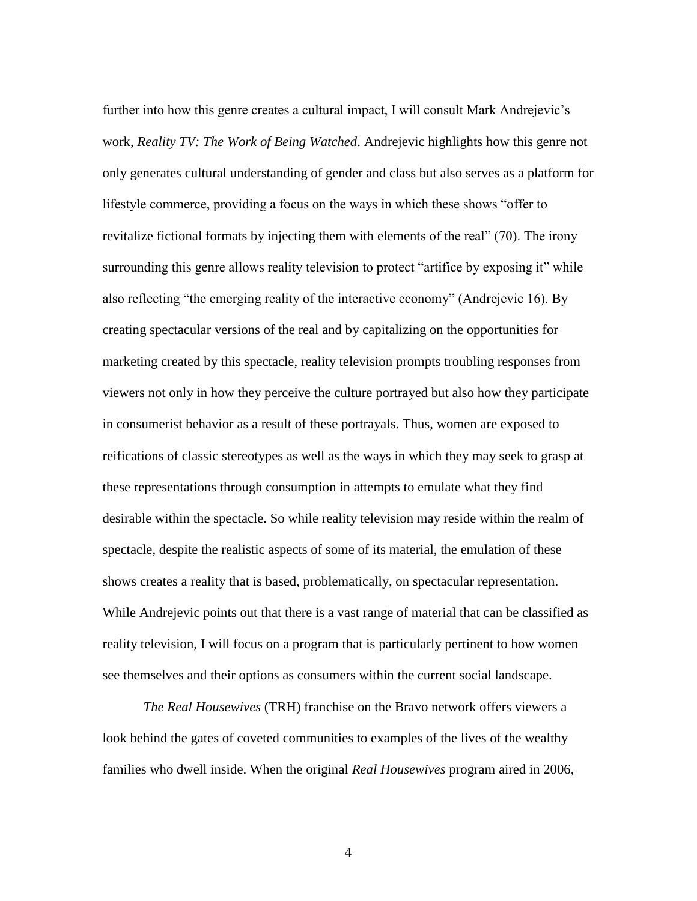further into how this genre creates a cultural impact, I will consult Mark Andrejevic's work, *Reality TV: The Work of Being Watched*. Andrejevic highlights how this genre not only generates cultural understanding of gender and class but also serves as a platform for lifestyle commerce, providing a focus on the ways in which these shows "offer to revitalize fictional formats by injecting them with elements of the real" (70). The irony surrounding this genre allows reality television to protect "artifice by exposing it" while also reflecting "the emerging reality of the interactive economy" (Andrejevic 16). By creating spectacular versions of the real and by capitalizing on the opportunities for marketing created by this spectacle, reality television prompts troubling responses from viewers not only in how they perceive the culture portrayed but also how they participate in consumerist behavior as a result of these portrayals. Thus, women are exposed to reifications of classic stereotypes as well as the ways in which they may seek to grasp at these representations through consumption in attempts to emulate what they find desirable within the spectacle. So while reality television may reside within the realm of spectacle, despite the realistic aspects of some of its material, the emulation of these shows creates a reality that is based, problematically, on spectacular representation. While Andrejevic points out that there is a vast range of material that can be classified as reality television, I will focus on a program that is particularly pertinent to how women see themselves and their options as consumers within the current social landscape.

*The Real Housewives* (TRH) franchise on the Bravo network offers viewers a look behind the gates of coveted communities to examples of the lives of the wealthy families who dwell inside. When the original *Real Housewives* program aired in 2006,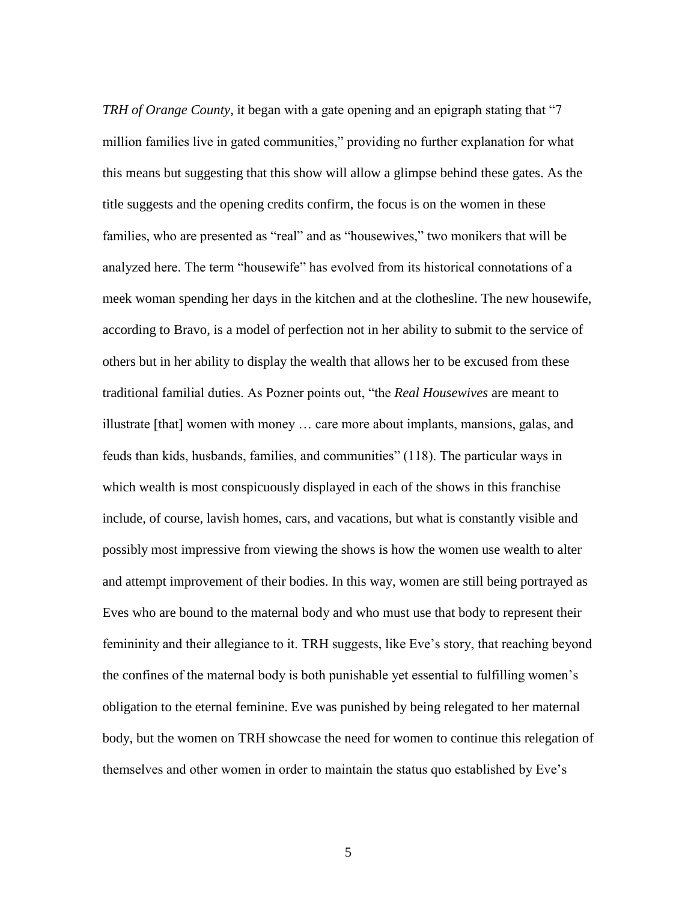*TRH of Orange County*, it began with a gate opening and an epigraph stating that "7 million families live in gated communities," providing no further explanation for what this means but suggesting that this show will allow a glimpse behind these gates. As the title suggests and the opening credits confirm, the focus is on the women in these families, who are presented as "real" and as "housewives," two monikers that will be analyzed here. The term "housewife" has evolved from its historical connotations of a meek woman spending her days in the kitchen and at the clothesline. The new housewife, according to Bravo, is a model of perfection not in her ability to submit to the service of others but in her ability to display the wealth that allows her to be excused from these traditional familial duties. As Pozner points out, "the *Real Housewives* are meant to illustrate [that] women with money … care more about implants, mansions, galas, and feuds than kids, husbands, families, and communities" (118). The particular ways in which wealth is most conspicuously displayed in each of the shows in this franchise include, of course, lavish homes, cars, and vacations, but what is constantly visible and possibly most impressive from viewing the shows is how the women use wealth to alter and attempt improvement of their bodies. In this way, women are still being portrayed as Eves who are bound to the maternal body and who must use that body to represent their femininity and their allegiance to it. TRH suggests, like Eve's story, that reaching beyond the confines of the maternal body is both punishable yet essential to fulfilling women's obligation to the eternal feminine. Eve was punished by being relegated to her maternal body, but the women on TRH showcase the need for women to continue this relegation of themselves and other women in order to maintain the status quo established by Eve's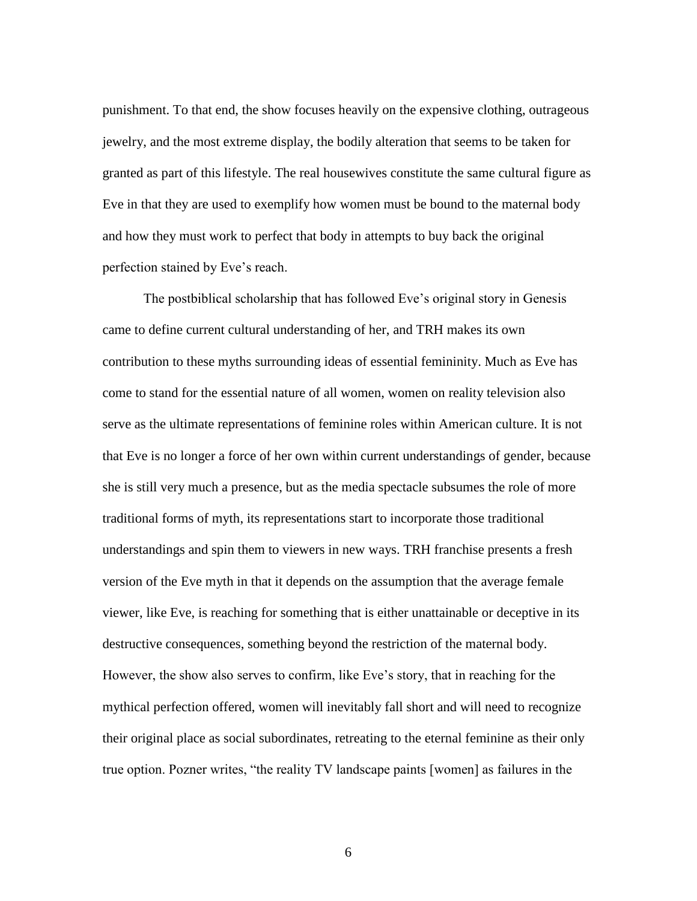punishment. To that end, the show focuses heavily on the expensive clothing, outrageous jewelry, and the most extreme display, the bodily alteration that seems to be taken for granted as part of this lifestyle. The real housewives constitute the same cultural figure as Eve in that they are used to exemplify how women must be bound to the maternal body and how they must work to perfect that body in attempts to buy back the original perfection stained by Eve's reach.

The postbiblical scholarship that has followed Eve's original story in Genesis came to define current cultural understanding of her, and TRH makes its own contribution to these myths surrounding ideas of essential femininity. Much as Eve has come to stand for the essential nature of all women, women on reality television also serve as the ultimate representations of feminine roles within American culture. It is not that Eve is no longer a force of her own within current understandings of gender, because she is still very much a presence, but as the media spectacle subsumes the role of more traditional forms of myth, its representations start to incorporate those traditional understandings and spin them to viewers in new ways. TRH franchise presents a fresh version of the Eve myth in that it depends on the assumption that the average female viewer, like Eve, is reaching for something that is either unattainable or deceptive in its destructive consequences, something beyond the restriction of the maternal body. However, the show also serves to confirm, like Eve's story, that in reaching for the mythical perfection offered, women will inevitably fall short and will need to recognize their original place as social subordinates, retreating to the eternal feminine as their only true option. Pozner writes, "the reality TV landscape paints [women] as failures in the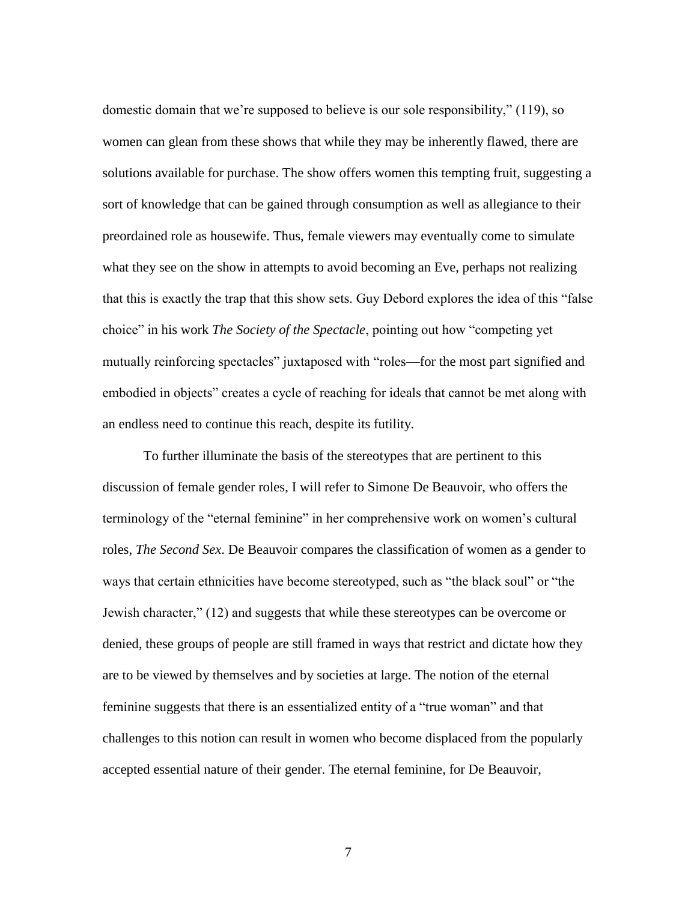domestic domain that we're supposed to believe is our sole responsibility," (119), so women can glean from these shows that while they may be inherently flawed, there are solutions available for purchase. The show offers women this tempting fruit, suggesting a sort of knowledge that can be gained through consumption as well as allegiance to their preordained role as housewife. Thus, female viewers may eventually come to simulate what they see on the show in attempts to avoid becoming an Eve, perhaps not realizing that this is exactly the trap that this show sets. Guy Debord explores the idea of this "false choice" in his work *The Society of the Spectacle*, pointing out how "competing yet mutually reinforcing spectacles" juxtaposed with "roles—for the most part signified and embodied in objects" creates a cycle of reaching for ideals that cannot be met along with an endless need to continue this reach, despite its futility.

To further illuminate the basis of the stereotypes that are pertinent to this discussion of female gender roles, I will refer to Simone De Beauvoir, who offers the terminology of the "eternal feminine" in her comprehensive work on women's cultural roles, *The Second Sex*. De Beauvoir compares the classification of women as a gender to ways that certain ethnicities have become stereotyped, such as "the black soul" or "the Jewish character," (12) and suggests that while these stereotypes can be overcome or denied, these groups of people are still framed in ways that restrict and dictate how they are to be viewed by themselves and by societies at large. The notion of the eternal feminine suggests that there is an essentialized entity of a "true woman" and that challenges to this notion can result in women who become displaced from the popularly accepted essential nature of their gender. The eternal feminine, for De Beauvoir,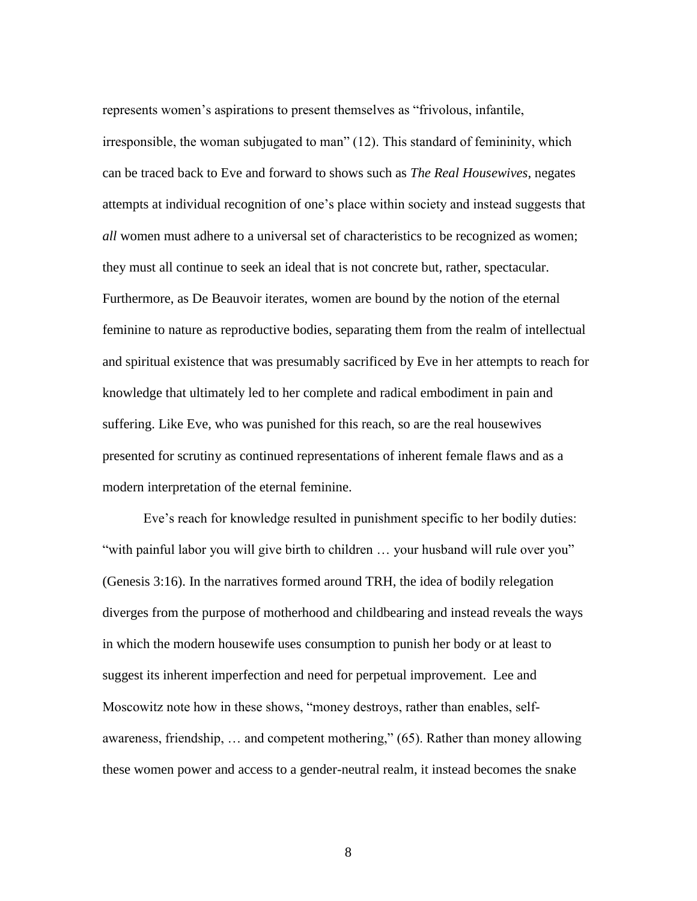represents women's aspirations to present themselves as "frivolous, infantile, irresponsible, the woman subjugated to man" (12). This standard of femininity, which can be traced back to Eve and forward to shows such as *The Real Housewives*, negates attempts at individual recognition of one's place within society and instead suggests that *all* women must adhere to a universal set of characteristics to be recognized as women; they must all continue to seek an ideal that is not concrete but, rather, spectacular. Furthermore, as De Beauvoir iterates, women are bound by the notion of the eternal feminine to nature as reproductive bodies, separating them from the realm of intellectual and spiritual existence that was presumably sacrificed by Eve in her attempts to reach for knowledge that ultimately led to her complete and radical embodiment in pain and suffering. Like Eve, who was punished for this reach, so are the real housewives presented for scrutiny as continued representations of inherent female flaws and as a modern interpretation of the eternal feminine.

Eve's reach for knowledge resulted in punishment specific to her bodily duties: "with painful labor you will give birth to children … your husband will rule over you" (Genesis 3:16). In the narratives formed around TRH, the idea of bodily relegation diverges from the purpose of motherhood and childbearing and instead reveals the ways in which the modern housewife uses consumption to punish her body or at least to suggest its inherent imperfection and need for perpetual improvement. Lee and Moscowitz note how in these shows, "money destroys, rather than enables, selfawareness, friendship, … and competent mothering," (65). Rather than money allowing these women power and access to a gender-neutral realm, it instead becomes the snake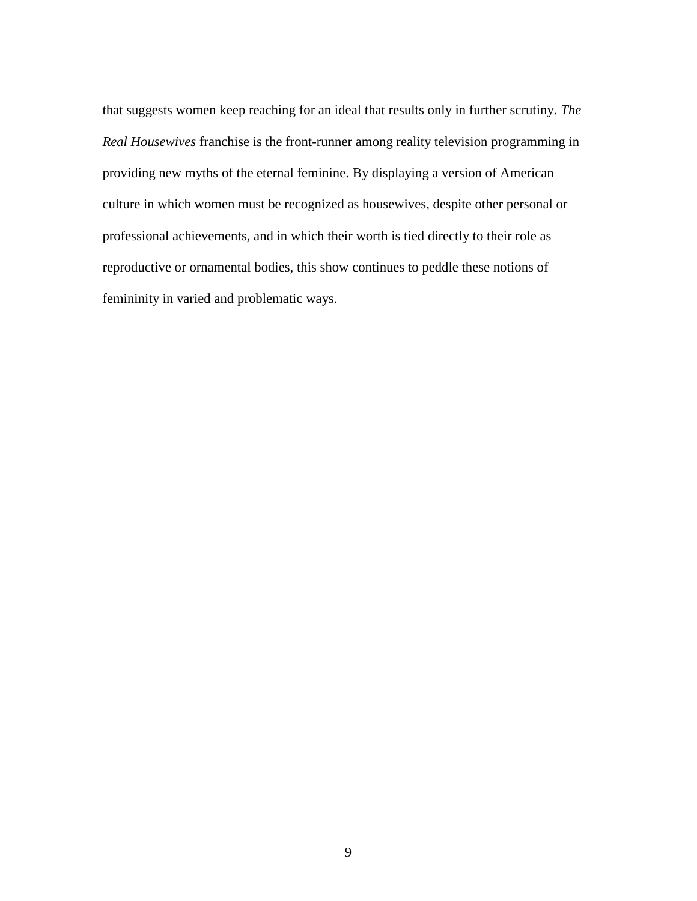that suggests women keep reaching for an ideal that results only in further scrutiny. *The Real Housewives* franchise is the front-runner among reality television programming in providing new myths of the eternal feminine. By displaying a version of American culture in which women must be recognized as housewives, despite other personal or professional achievements, and in which their worth is tied directly to their role as reproductive or ornamental bodies, this show continues to peddle these notions of femininity in varied and problematic ways.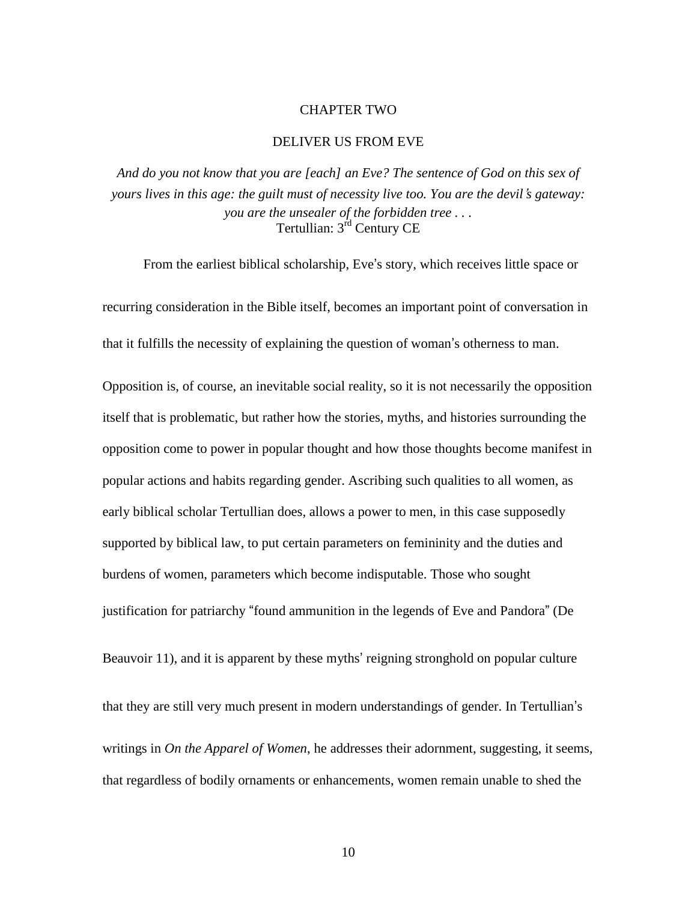#### CHAPTER TWO

#### DELIVER US FROM EVE

*And do you not know that you are [each] an Eve? The sentence of God on this sex of yours lives in this age: the guilt must of necessity live too. You are the devil*'*s gateway: you are the unsealer of the forbidden tree . . .*  Tertullian: 3rd Century CE

From the earliest biblical scholarship, Eve's story, which receives little space or recurring consideration in the Bible itself, becomes an important point of conversation in that it fulfills the necessity of explaining the question of woman's otherness to man.

Opposition is, of course, an inevitable social reality, so it is not necessarily the opposition itself that is problematic, but rather how the stories, myths, and histories surrounding the opposition come to power in popular thought and how those thoughts become manifest in popular actions and habits regarding gender. Ascribing such qualities to all women, as early biblical scholar Tertullian does, allows a power to men, in this case supposedly supported by biblical law, to put certain parameters on femininity and the duties and burdens of women, parameters which become indisputable. Those who sought justification for patriarchy "found ammunition in the legends of Eve and Pandora" (De

Beauvoir 11), and it is apparent by these myths' reigning stronghold on popular culture

that they are still very much present in modern understandings of gender. In Tertullian's writings in *On the Apparel of Women*, he addresses their adornment, suggesting, it seems, that regardless of bodily ornaments or enhancements, women remain unable to shed the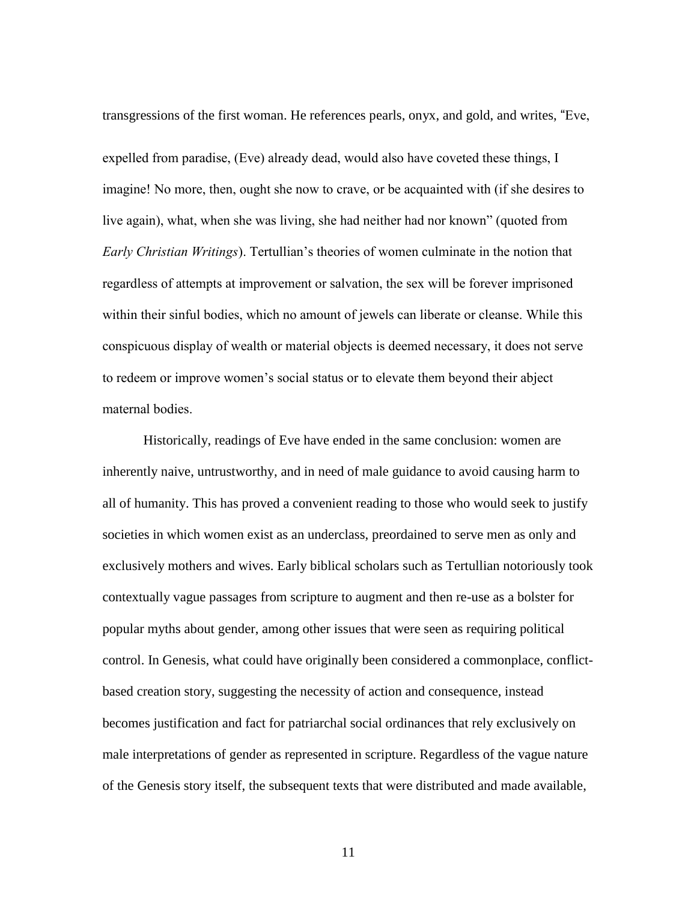transgressions of the first woman. He references pearls, onyx, and gold, and writes, "Eve, expelled from paradise, (Eve) already dead, would also have coveted these things, I imagine! No more, then, ought she now to crave, or be acquainted with (if she desires to live again), what, when she was living, she had neither had nor known" (quoted from *Early Christian Writings*). Tertullian's theories of women culminate in the notion that regardless of attempts at improvement or salvation, the sex will be forever imprisoned within their sinful bodies, which no amount of jewels can liberate or cleanse. While this conspicuous display of wealth or material objects is deemed necessary, it does not serve to redeem or improve women's social status or to elevate them beyond their abject maternal bodies.

Historically, readings of Eve have ended in the same conclusion: women are inherently naive, untrustworthy, and in need of male guidance to avoid causing harm to all of humanity. This has proved a convenient reading to those who would seek to justify societies in which women exist as an underclass, preordained to serve men as only and exclusively mothers and wives. Early biblical scholars such as Tertullian notoriously took contextually vague passages from scripture to augment and then re-use as a bolster for popular myths about gender, among other issues that were seen as requiring political control. In Genesis, what could have originally been considered a commonplace, conflictbased creation story, suggesting the necessity of action and consequence, instead becomes justification and fact for patriarchal social ordinances that rely exclusively on male interpretations of gender as represented in scripture. Regardless of the vague nature of the Genesis story itself, the subsequent texts that were distributed and made available,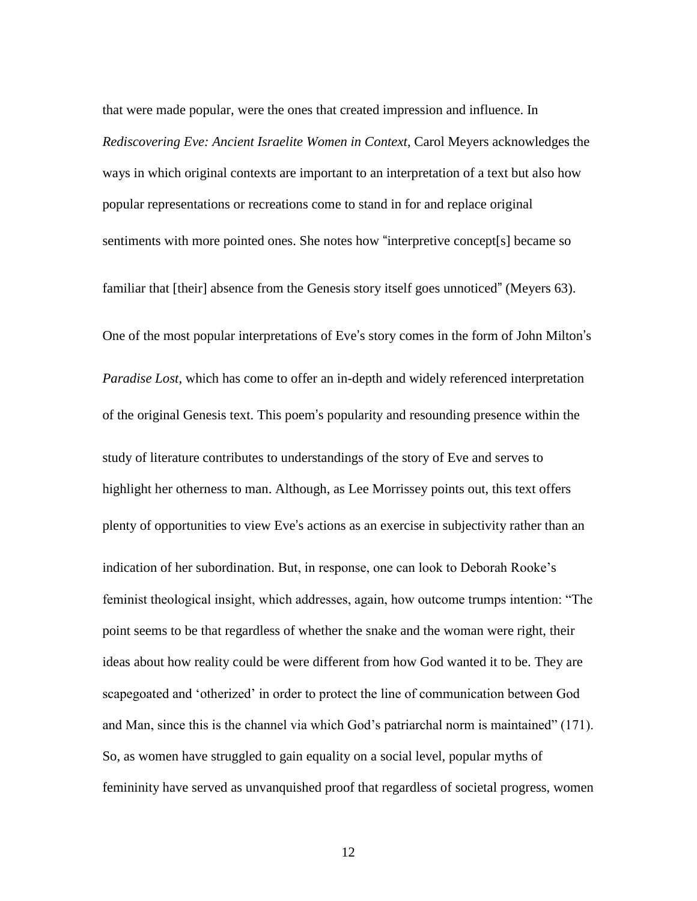that were made popular, were the ones that created impression and influence. In *Rediscovering Eve: Ancient Israelite Women in Context*, Carol Meyers acknowledges the ways in which original contexts are important to an interpretation of a text but also how popular representations or recreations come to stand in for and replace original sentiments with more pointed ones. She notes how "interpretive concept[s] became so

familiar that [their] absence from the Genesis story itself goes unnoticed" (Meyers 63).

One of the most popular interpretations of Eve's story comes in the form of John Milton's *Paradise Lost*, which has come to offer an in-depth and widely referenced interpretation of the original Genesis text. This poem's popularity and resounding presence within the study of literature contributes to understandings of the story of Eve and serves to highlight her otherness to man. Although, as Lee Morrissey points out, this text offers plenty of opportunities to view Eve's actions as an exercise in subjectivity rather than an indication of her subordination. But, in response, one can look to Deborah Rooke's feminist theological insight, which addresses, again, how outcome trumps intention: "The point seems to be that regardless of whether the snake and the woman were right, their ideas about how reality could be were different from how God wanted it to be. They are scapegoated and 'otherized' in order to protect the line of communication between God and Man, since this is the channel via which God's patriarchal norm is maintained" (171). So, as women have struggled to gain equality on a social level, popular myths of femininity have served as unvanquished proof that regardless of societal progress, women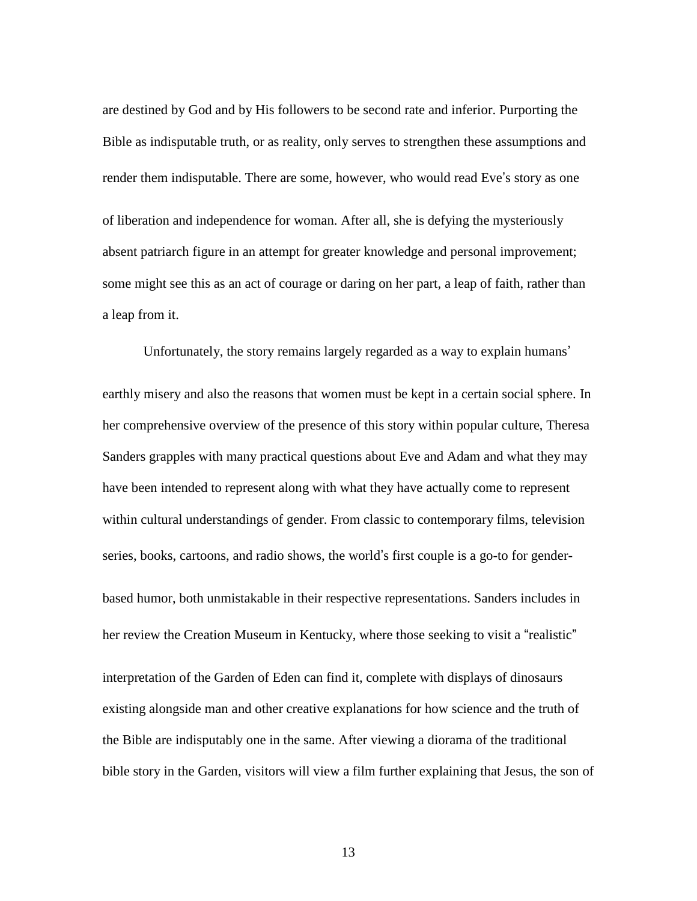are destined by God and by His followers to be second rate and inferior. Purporting the Bible as indisputable truth, or as reality, only serves to strengthen these assumptions and render them indisputable. There are some, however, who would read Eve's story as one of liberation and independence for woman. After all, she is defying the mysteriously absent patriarch figure in an attempt for greater knowledge and personal improvement; some might see this as an act of courage or daring on her part, a leap of faith, rather than a leap from it.

Unfortunately, the story remains largely regarded as a way to explain humans'

earthly misery and also the reasons that women must be kept in a certain social sphere. In her comprehensive overview of the presence of this story within popular culture, Theresa Sanders grapples with many practical questions about Eve and Adam and what they may have been intended to represent along with what they have actually come to represent within cultural understandings of gender. From classic to contemporary films, television series, books, cartoons, and radio shows, the world's first couple is a go-to for genderbased humor, both unmistakable in their respective representations. Sanders includes in her review the Creation Museum in Kentucky, where those seeking to visit a "realistic" interpretation of the Garden of Eden can find it, complete with displays of dinosaurs existing alongside man and other creative explanations for how science and the truth of the Bible are indisputably one in the same. After viewing a diorama of the traditional bible story in the Garden, visitors will view a film further explaining that Jesus, the son of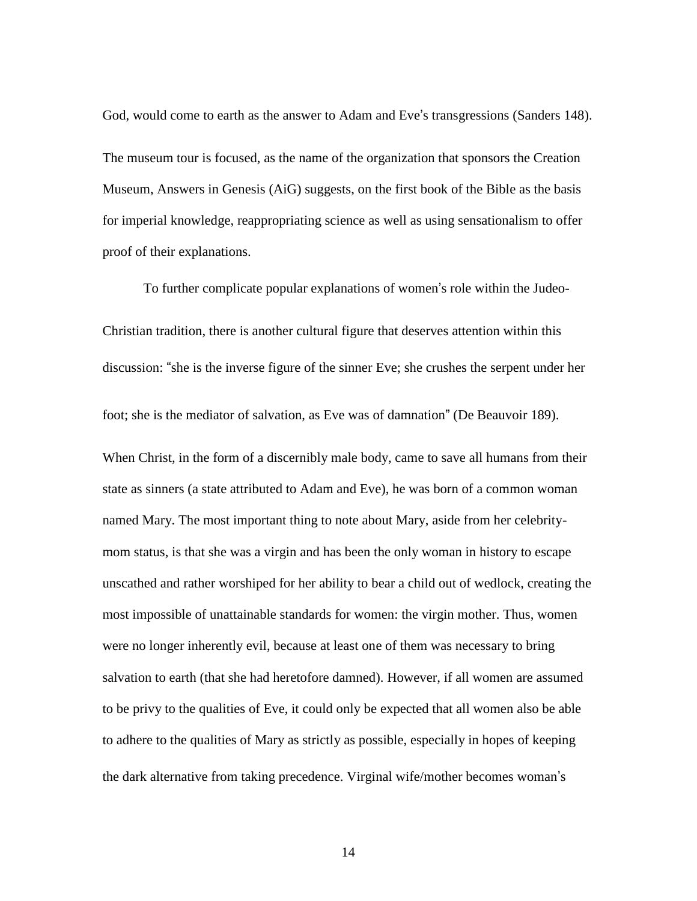God, would come to earth as the answer to Adam and Eve's transgressions (Sanders 148). The museum tour is focused, as the name of the organization that sponsors the Creation Museum, Answers in Genesis (AiG) suggests, on the first book of the Bible as the basis for imperial knowledge, reappropriating science as well as using sensationalism to offer proof of their explanations.

To further complicate popular explanations of women's role within the Judeo-Christian tradition, there is another cultural figure that deserves attention within this discussion: "she is the inverse figure of the sinner Eve; she crushes the serpent under her foot; she is the mediator of salvation, as Eve was of damnation" (De Beauvoir 189). When Christ, in the form of a discernibly male body, came to save all humans from their state as sinners (a state attributed to Adam and Eve), he was born of a common woman named Mary. The most important thing to note about Mary, aside from her celebritymom status, is that she was a virgin and has been the only woman in history to escape unscathed and rather worshiped for her ability to bear a child out of wedlock, creating the most impossible of unattainable standards for women: the virgin mother. Thus, women were no longer inherently evil, because at least one of them was necessary to bring salvation to earth (that she had heretofore damned). However, if all women are assumed to be privy to the qualities of Eve, it could only be expected that all women also be able to adhere to the qualities of Mary as strictly as possible, especially in hopes of keeping the dark alternative from taking precedence. Virginal wife/mother becomes woman's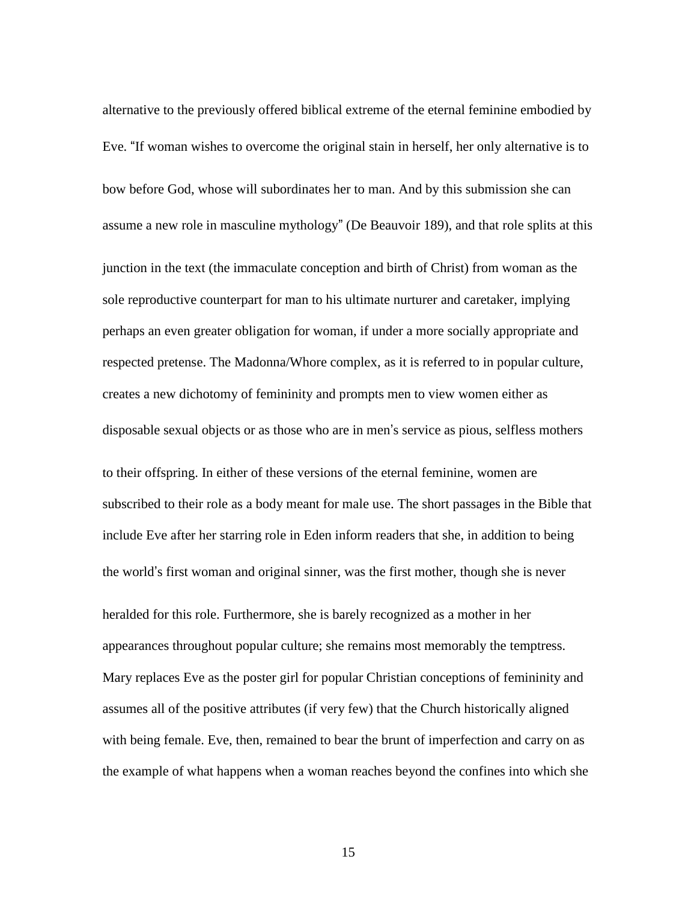alternative to the previously offered biblical extreme of the eternal feminine embodied by Eve. "If woman wishes to overcome the original stain in herself, her only alternative is to bow before God, whose will subordinates her to man. And by this submission she can assume a new role in masculine mythology" (De Beauvoir 189), and that role splits at this junction in the text (the immaculate conception and birth of Christ) from woman as the sole reproductive counterpart for man to his ultimate nurturer and caretaker, implying perhaps an even greater obligation for woman, if under a more socially appropriate and respected pretense. The Madonna/Whore complex, as it is referred to in popular culture, creates a new dichotomy of femininity and prompts men to view women either as disposable sexual objects or as those who are in men's service as pious, selfless mothers to their offspring. In either of these versions of the eternal feminine, women are subscribed to their role as a body meant for male use. The short passages in the Bible that include Eve after her starring role in Eden inform readers that she, in addition to being the world's first woman and original sinner, was the first mother, though she is never heralded for this role. Furthermore, she is barely recognized as a mother in her appearances throughout popular culture; she remains most memorably the temptress. Mary replaces Eve as the poster girl for popular Christian conceptions of femininity and assumes all of the positive attributes (if very few) that the Church historically aligned with being female. Eve, then, remained to bear the brunt of imperfection and carry on as the example of what happens when a woman reaches beyond the confines into which she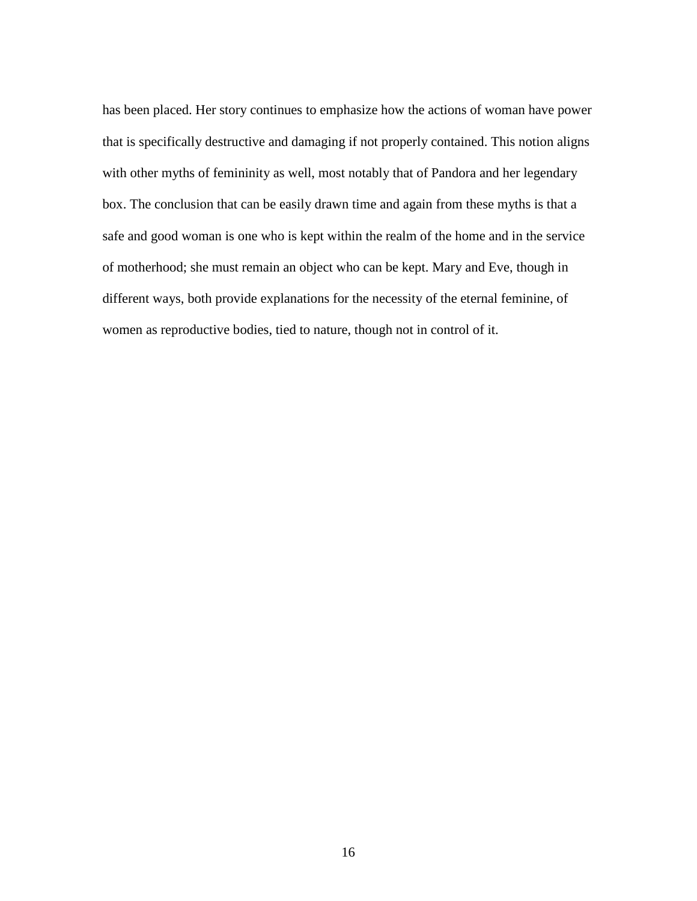has been placed. Her story continues to emphasize how the actions of woman have power that is specifically destructive and damaging if not properly contained. This notion aligns with other myths of femininity as well, most notably that of Pandora and her legendary box. The conclusion that can be easily drawn time and again from these myths is that a safe and good woman is one who is kept within the realm of the home and in the service of motherhood; she must remain an object who can be kept. Mary and Eve, though in different ways, both provide explanations for the necessity of the eternal feminine, of women as reproductive bodies, tied to nature, though not in control of it.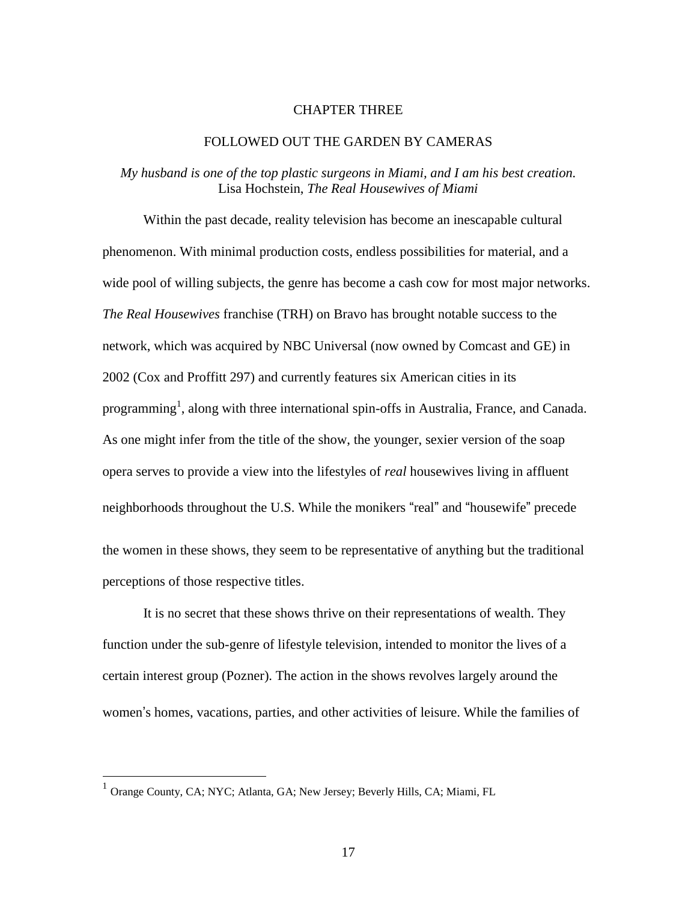#### CHAPTER THREE

#### FOLLOWED OUT THE GARDEN BY CAMERAS

## *My husband is one of the top plastic surgeons in Miami, and I am his best creation.* Lisa Hochstein, *The Real Housewives of Miami*

Within the past decade, reality television has become an inescapable cultural phenomenon. With minimal production costs, endless possibilities for material, and a wide pool of willing subjects, the genre has become a cash cow for most major networks. *The Real Housewives* franchise (TRH) on Bravo has brought notable success to the network, which was acquired by NBC Universal (now owned by Comcast and GE) in 2002 (Cox and Proffitt 297) and currently features six American cities in its programming<sup>1</sup>, along with three international spin-offs in Australia, France, and Canada. As one might infer from the title of the show, the younger, sexier version of the soap opera serves to provide a view into the lifestyles of *real* housewives living in affluent neighborhoods throughout the U.S. While the monikers "real" and "housewife" precede the women in these shows, they seem to be representative of anything but the traditional perceptions of those respective titles.

It is no secret that these shows thrive on their representations of wealth. They function under the sub-genre of lifestyle television, intended to monitor the lives of a certain interest group (Pozner). The action in the shows revolves largely around the women's homes, vacations, parties, and other activities of leisure. While the families of

 1 Orange County, CA; NYC; Atlanta, GA; New Jersey; Beverly Hills, CA; Miami, FL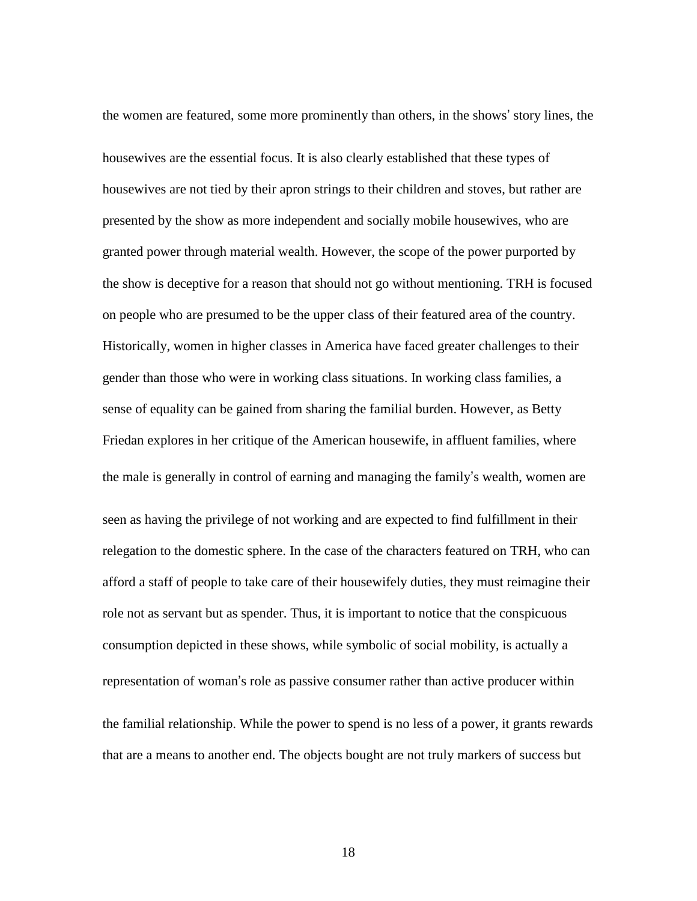the women are featured, some more prominently than others, in the shows' story lines, the housewives are the essential focus. It is also clearly established that these types of housewives are not tied by their apron strings to their children and stoves, but rather are presented by the show as more independent and socially mobile housewives, who are granted power through material wealth. However, the scope of the power purported by the show is deceptive for a reason that should not go without mentioning. TRH is focused on people who are presumed to be the upper class of their featured area of the country. Historically, women in higher classes in America have faced greater challenges to their gender than those who were in working class situations. In working class families, a sense of equality can be gained from sharing the familial burden. However, as Betty Friedan explores in her critique of the American housewife, in affluent families, where the male is generally in control of earning and managing the family's wealth, women are seen as having the privilege of not working and are expected to find fulfillment in their relegation to the domestic sphere. In the case of the characters featured on TRH, who can afford a staff of people to take care of their housewifely duties, they must reimagine their role not as servant but as spender. Thus, it is important to notice that the conspicuous consumption depicted in these shows, while symbolic of social mobility, is actually a representation of woman's role as passive consumer rather than active producer within the familial relationship. While the power to spend is no less of a power, it grants rewards that are a means to another end. The objects bought are not truly markers of success but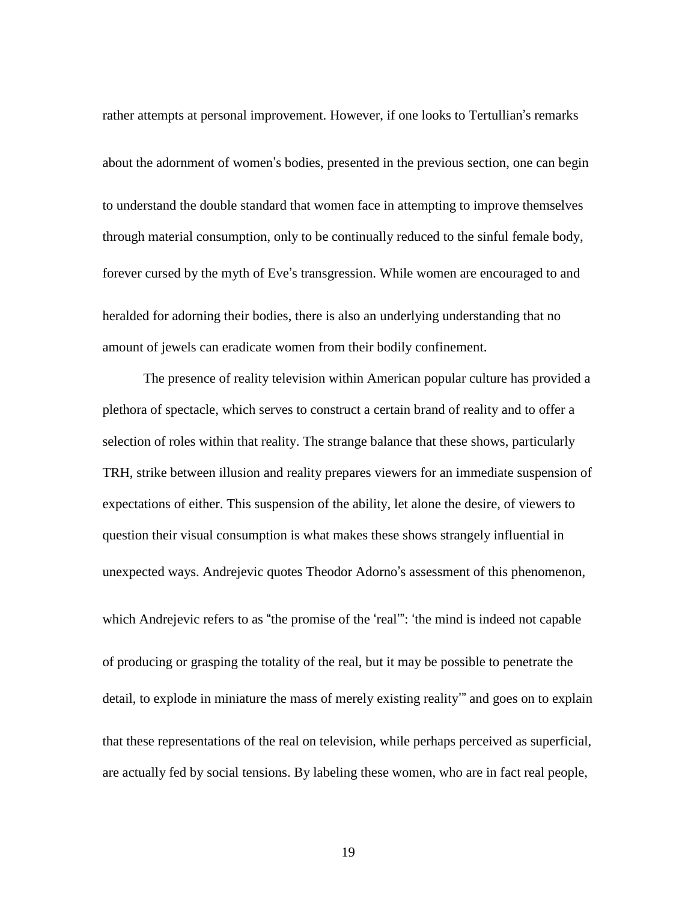rather attempts at personal improvement. However, if one looks to Tertullian's remarks about the adornment of women's bodies, presented in the previous section, one can begin to understand the double standard that women face in attempting to improve themselves through material consumption, only to be continually reduced to the sinful female body, forever cursed by the myth of Eve's transgression. While women are encouraged to and heralded for adorning their bodies, there is also an underlying understanding that no amount of jewels can eradicate women from their bodily confinement.

The presence of reality television within American popular culture has provided a plethora of spectacle, which serves to construct a certain brand of reality and to offer a selection of roles within that reality. The strange balance that these shows, particularly TRH, strike between illusion and reality prepares viewers for an immediate suspension of expectations of either. This suspension of the ability, let alone the desire, of viewers to question their visual consumption is what makes these shows strangely influential in unexpected ways. Andrejevic quotes Theodor Adorno's assessment of this phenomenon, which Andrejevic refers to as "the promise of the 'real'": 'the mind is indeed not capable of producing or grasping the totality of the real, but it may be possible to penetrate the detail, to explode in miniature the mass of merely existing reality'" and goes on to explain that these representations of the real on television, while perhaps perceived as superficial, are actually fed by social tensions. By labeling these women, who are in fact real people,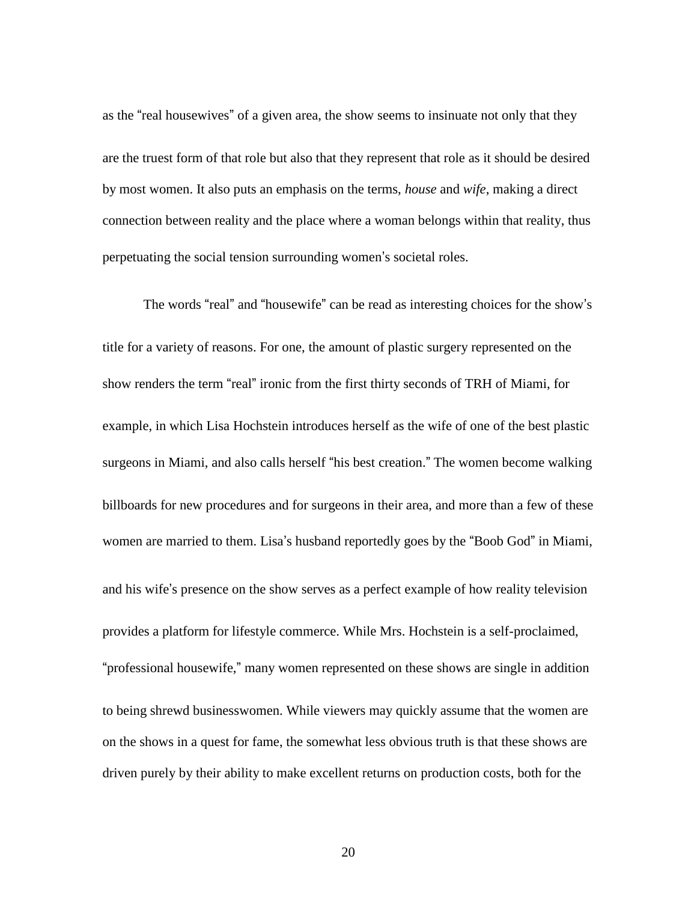as the "real housewives" of a given area, the show seems to insinuate not only that they are the truest form of that role but also that they represent that role as it should be desired by most women. It also puts an emphasis on the terms, *house* and *wife*, making a direct connection between reality and the place where a woman belongs within that reality, thus perpetuating the social tension surrounding women's societal roles.

The words "real" and "housewife" can be read as interesting choices for the show's title for a variety of reasons. For one, the amount of plastic surgery represented on the show renders the term "real" ironic from the first thirty seconds of TRH of Miami, for example, in which Lisa Hochstein introduces herself as the wife of one of the best plastic surgeons in Miami, and also calls herself "his best creation." The women become walking billboards for new procedures and for surgeons in their area, and more than a few of these women are married to them. Lisa's husband reportedly goes by the "Boob God" in Miami, and his wife's presence on the show serves as a perfect example of how reality television provides a platform for lifestyle commerce. While Mrs. Hochstein is a self-proclaimed, "professional housewife," many women represented on these shows are single in addition to being shrewd businesswomen. While viewers may quickly assume that the women are on the shows in a quest for fame, the somewhat less obvious truth is that these shows are driven purely by their ability to make excellent returns on production costs, both for the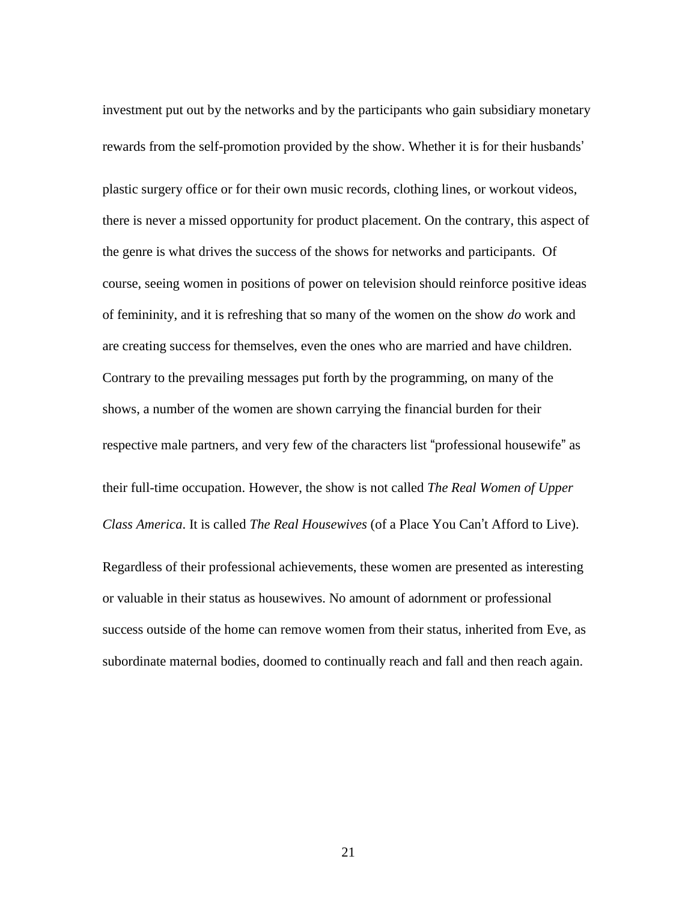investment put out by the networks and by the participants who gain subsidiary monetary rewards from the self-promotion provided by the show. Whether it is for their husbands' plastic surgery office or for their own music records, clothing lines, or workout videos, there is never a missed opportunity for product placement. On the contrary, this aspect of the genre is what drives the success of the shows for networks and participants. Of course, seeing women in positions of power on television should reinforce positive ideas of femininity, and it is refreshing that so many of the women on the show *do* work and are creating success for themselves, even the ones who are married and have children. Contrary to the prevailing messages put forth by the programming, on many of the shows, a number of the women are shown carrying the financial burden for their respective male partners, and very few of the characters list "professional housewife" as their full-time occupation. However, the show is not called *The Real Women of Upper Class America*. It is called *The Real Housewives* (of a Place You Can't Afford to Live).

Regardless of their professional achievements, these women are presented as interesting or valuable in their status as housewives. No amount of adornment or professional success outside of the home can remove women from their status, inherited from Eve, as subordinate maternal bodies, doomed to continually reach and fall and then reach again.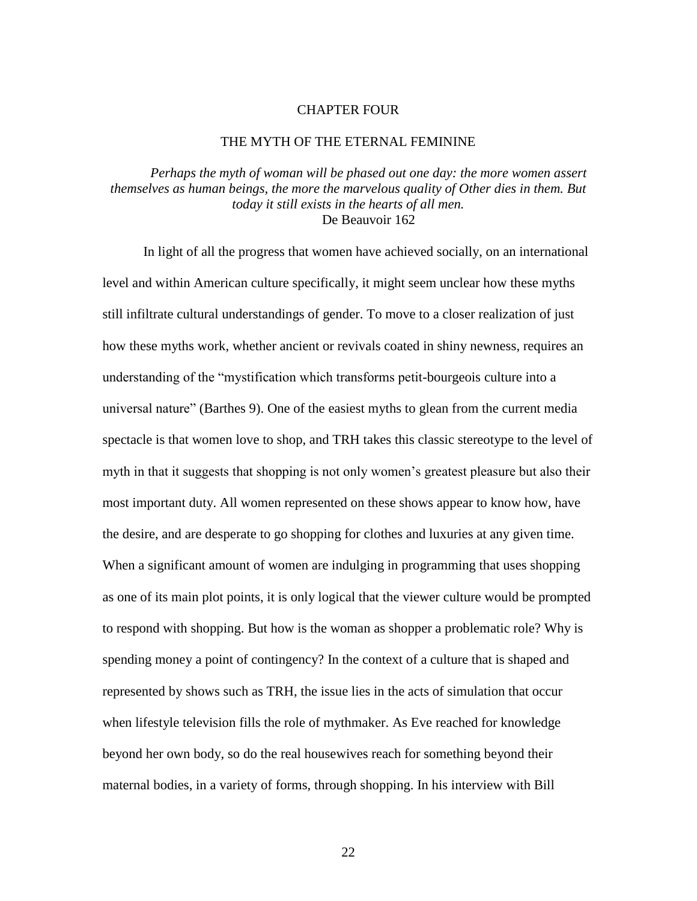#### CHAPTER FOUR

#### THE MYTH OF THE ETERNAL FEMININE

*Perhaps the myth of woman will be phased out one day: the more women assert themselves as human beings, the more the marvelous quality of Other dies in them. But today it still exists in the hearts of all men.* De Beauvoir 162

In light of all the progress that women have achieved socially, on an international level and within American culture specifically, it might seem unclear how these myths still infiltrate cultural understandings of gender. To move to a closer realization of just how these myths work, whether ancient or revivals coated in shiny newness, requires an understanding of the "mystification which transforms petit-bourgeois culture into a universal nature" (Barthes 9). One of the easiest myths to glean from the current media spectacle is that women love to shop, and TRH takes this classic stereotype to the level of myth in that it suggests that shopping is not only women's greatest pleasure but also their most important duty. All women represented on these shows appear to know how, have the desire, and are desperate to go shopping for clothes and luxuries at any given time. When a significant amount of women are indulging in programming that uses shopping as one of its main plot points, it is only logical that the viewer culture would be prompted to respond with shopping. But how is the woman as shopper a problematic role? Why is spending money a point of contingency? In the context of a culture that is shaped and represented by shows such as TRH, the issue lies in the acts of simulation that occur when lifestyle television fills the role of mythmaker. As Eve reached for knowledge beyond her own body, so do the real housewives reach for something beyond their maternal bodies, in a variety of forms, through shopping. In his interview with Bill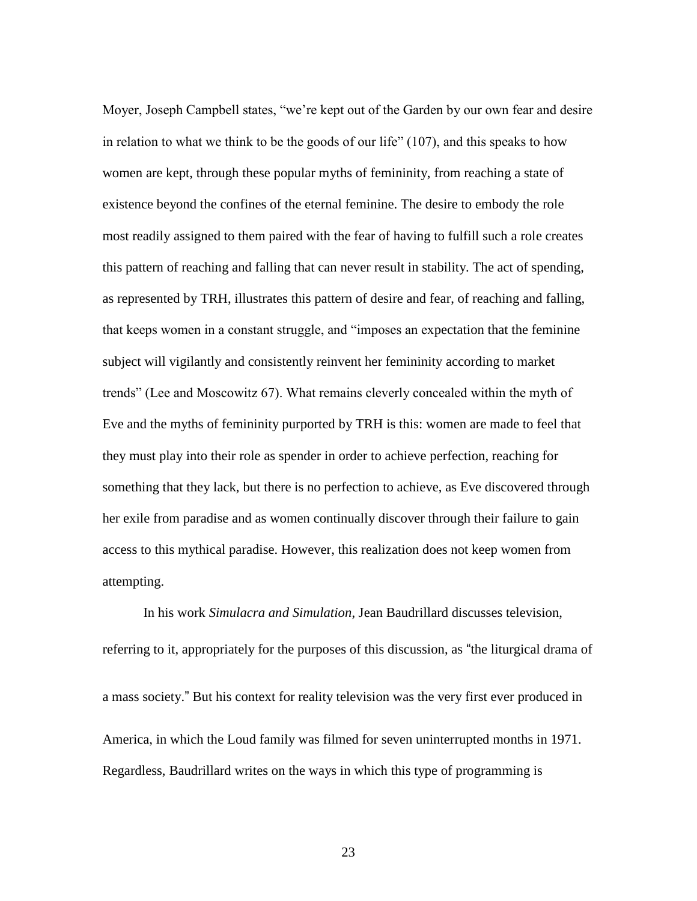Moyer, Joseph Campbell states, "we're kept out of the Garden by our own fear and desire in relation to what we think to be the goods of our life" (107), and this speaks to how women are kept, through these popular myths of femininity, from reaching a state of existence beyond the confines of the eternal feminine. The desire to embody the role most readily assigned to them paired with the fear of having to fulfill such a role creates this pattern of reaching and falling that can never result in stability. The act of spending, as represented by TRH, illustrates this pattern of desire and fear, of reaching and falling, that keeps women in a constant struggle, and "imposes an expectation that the feminine subject will vigilantly and consistently reinvent her femininity according to market trends" (Lee and Moscowitz 67). What remains cleverly concealed within the myth of Eve and the myths of femininity purported by TRH is this: women are made to feel that they must play into their role as spender in order to achieve perfection, reaching for something that they lack, but there is no perfection to achieve, as Eve discovered through her exile from paradise and as women continually discover through their failure to gain access to this mythical paradise. However, this realization does not keep women from attempting.

In his work *Simulacra and Simulation*, Jean Baudrillard discusses television, referring to it, appropriately for the purposes of this discussion, as "the liturgical drama of a mass society." But his context for reality television was the very first ever produced in America, in which the Loud family was filmed for seven uninterrupted months in 1971. Regardless, Baudrillard writes on the ways in which this type of programming is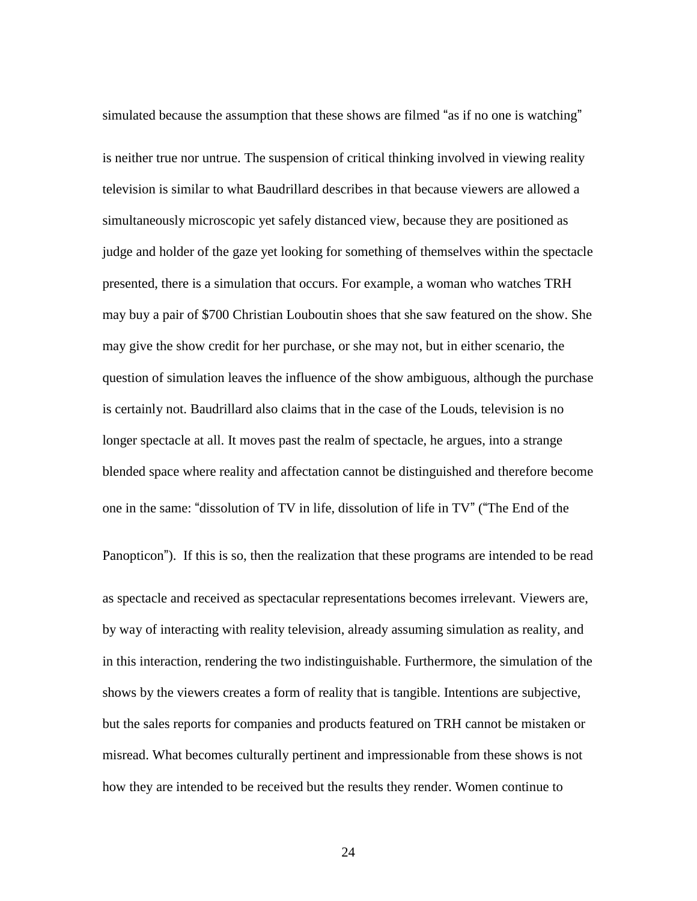simulated because the assumption that these shows are filmed "as if no one is watching" is neither true nor untrue. The suspension of critical thinking involved in viewing reality television is similar to what Baudrillard describes in that because viewers are allowed a simultaneously microscopic yet safely distanced view, because they are positioned as judge and holder of the gaze yet looking for something of themselves within the spectacle presented, there is a simulation that occurs. For example, a woman who watches TRH may buy a pair of \$700 Christian Louboutin shoes that she saw featured on the show. She may give the show credit for her purchase, or she may not, but in either scenario, the question of simulation leaves the influence of the show ambiguous, although the purchase is certainly not. Baudrillard also claims that in the case of the Louds, television is no longer spectacle at all. It moves past the realm of spectacle, he argues, into a strange blended space where reality and affectation cannot be distinguished and therefore become one in the same: "dissolution of TV in life, dissolution of life in TV" ("The End of the

Panopticon"). If this is so, then the realization that these programs are intended to be read as spectacle and received as spectacular representations becomes irrelevant. Viewers are, by way of interacting with reality television, already assuming simulation as reality, and in this interaction, rendering the two indistinguishable. Furthermore, the simulation of the shows by the viewers creates a form of reality that is tangible. Intentions are subjective, but the sales reports for companies and products featured on TRH cannot be mistaken or misread. What becomes culturally pertinent and impressionable from these shows is not how they are intended to be received but the results they render. Women continue to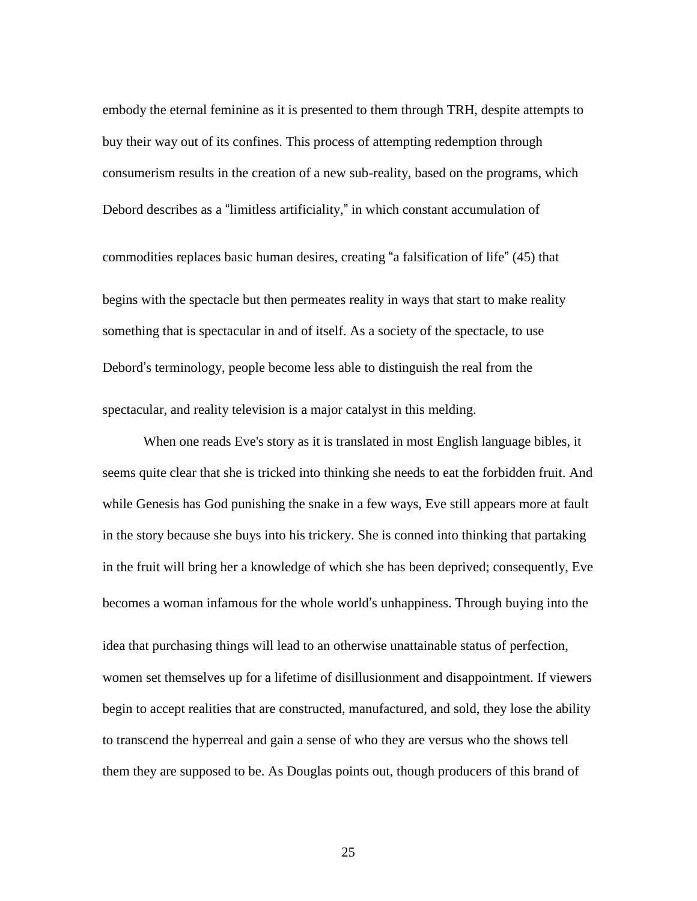embody the eternal feminine as it is presented to them through TRH, despite attempts to buy their way out of its confines. This process of attempting redemption through consumerism results in the creation of a new sub-reality, based on the programs, which Debord describes as a "limitless artificiality," in which constant accumulation of

commodities replaces basic human desires, creating "a falsification of life" (45) that begins with the spectacle but then permeates reality in ways that start to make reality something that is spectacular in and of itself. As a society of the spectacle, to use Debord's terminology, people become less able to distinguish the real from the spectacular, and reality television is a major catalyst in this melding.

When one reads Eve's story as it is translated in most English language bibles, it seems quite clear that she is tricked into thinking she needs to eat the forbidden fruit. And while Genesis has God punishing the snake in a few ways, Eve still appears more at fault in the story because she buys into his trickery. She is conned into thinking that partaking in the fruit will bring her a knowledge of which she has been deprived; consequently, Eve becomes a woman infamous for the whole world's unhappiness. Through buying into the idea that purchasing things will lead to an otherwise unattainable status of perfection, women set themselves up for a lifetime of disillusionment and disappointment. If viewers begin to accept realities that are constructed, manufactured, and sold, they lose the ability to transcend the hyperreal and gain a sense of who they are versus who the shows tell them they are supposed to be. As Douglas points out, though producers of this brand of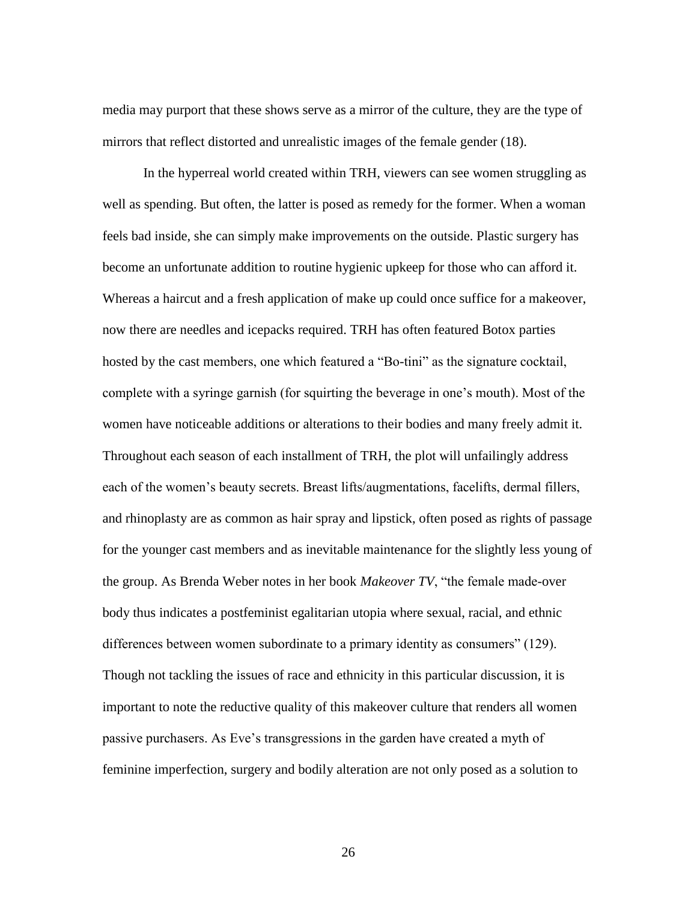media may purport that these shows serve as a mirror of the culture, they are the type of mirrors that reflect distorted and unrealistic images of the female gender (18).

In the hyperreal world created within TRH, viewers can see women struggling as well as spending. But often, the latter is posed as remedy for the former. When a woman feels bad inside, she can simply make improvements on the outside. Plastic surgery has become an unfortunate addition to routine hygienic upkeep for those who can afford it. Whereas a haircut and a fresh application of make up could once suffice for a makeover, now there are needles and icepacks required. TRH has often featured Botox parties hosted by the cast members, one which featured a "Bo-tini" as the signature cocktail, complete with a syringe garnish (for squirting the beverage in one's mouth). Most of the women have noticeable additions or alterations to their bodies and many freely admit it. Throughout each season of each installment of TRH, the plot will unfailingly address each of the women's beauty secrets. Breast lifts/augmentations, facelifts, dermal fillers, and rhinoplasty are as common as hair spray and lipstick, often posed as rights of passage for the younger cast members and as inevitable maintenance for the slightly less young of the group. As Brenda Weber notes in her book *Makeover TV*, "the female made-over body thus indicates a postfeminist egalitarian utopia where sexual, racial, and ethnic differences between women subordinate to a primary identity as consumers" (129). Though not tackling the issues of race and ethnicity in this particular discussion, it is important to note the reductive quality of this makeover culture that renders all women passive purchasers. As Eve's transgressions in the garden have created a myth of feminine imperfection, surgery and bodily alteration are not only posed as a solution to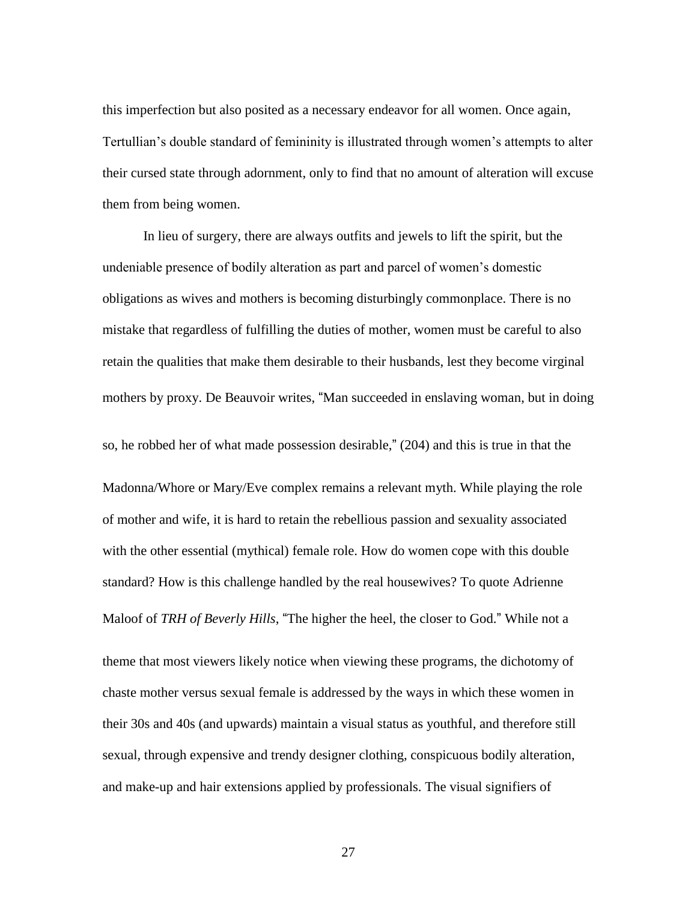this imperfection but also posited as a necessary endeavor for all women. Once again, Tertullian's double standard of femininity is illustrated through women's attempts to alter their cursed state through adornment, only to find that no amount of alteration will excuse them from being women.

In lieu of surgery, there are always outfits and jewels to lift the spirit, but the undeniable presence of bodily alteration as part and parcel of women's domestic obligations as wives and mothers is becoming disturbingly commonplace. There is no mistake that regardless of fulfilling the duties of mother, women must be careful to also retain the qualities that make them desirable to their husbands, lest they become virginal mothers by proxy. De Beauvoir writes, "Man succeeded in enslaving woman, but in doing so, he robbed her of what made possession desirable," (204) and this is true in that the Madonna/Whore or Mary/Eve complex remains a relevant myth. While playing the role of mother and wife, it is hard to retain the rebellious passion and sexuality associated with the other essential (mythical) female role. How do women cope with this double standard? How is this challenge handled by the real housewives? To quote Adrienne Maloof of *TRH of Beverly Hills*, "The higher the heel, the closer to God." While not a

theme that most viewers likely notice when viewing these programs, the dichotomy of chaste mother versus sexual female is addressed by the ways in which these women in their 30s and 40s (and upwards) maintain a visual status as youthful, and therefore still sexual, through expensive and trendy designer clothing, conspicuous bodily alteration, and make-up and hair extensions applied by professionals. The visual signifiers of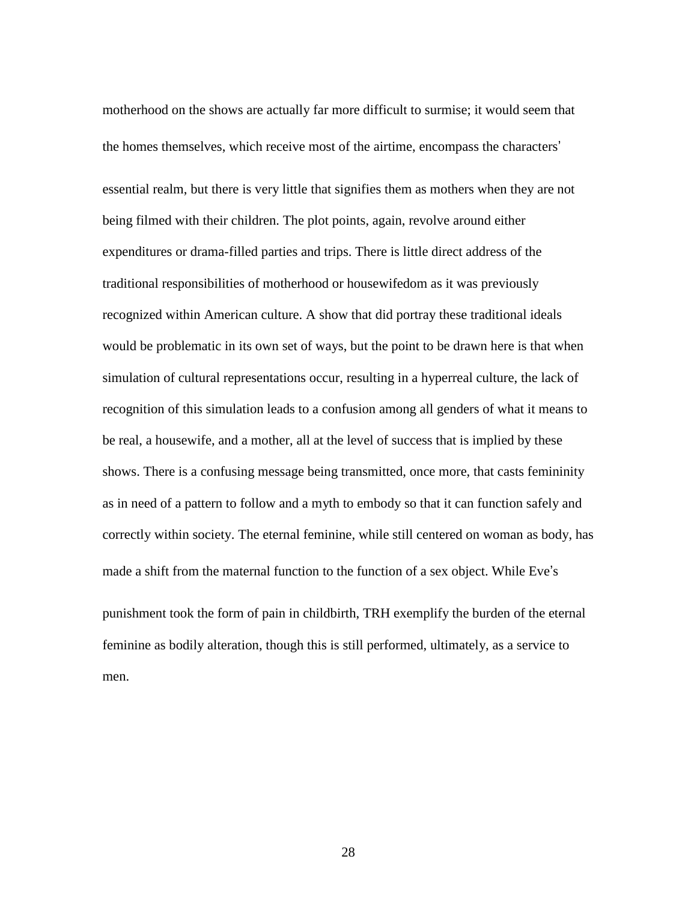motherhood on the shows are actually far more difficult to surmise; it would seem that the homes themselves, which receive most of the airtime, encompass the characters' essential realm, but there is very little that signifies them as mothers when they are not being filmed with their children. The plot points, again, revolve around either expenditures or drama-filled parties and trips. There is little direct address of the traditional responsibilities of motherhood or housewifedom as it was previously recognized within American culture. A show that did portray these traditional ideals would be problematic in its own set of ways, but the point to be drawn here is that when simulation of cultural representations occur, resulting in a hyperreal culture, the lack of recognition of this simulation leads to a confusion among all genders of what it means to be real, a housewife, and a mother, all at the level of success that is implied by these shows. There is a confusing message being transmitted, once more, that casts femininity as in need of a pattern to follow and a myth to embody so that it can function safely and correctly within society. The eternal feminine, while still centered on woman as body, has made a shift from the maternal function to the function of a sex object. While Eve's punishment took the form of pain in childbirth, TRH exemplify the burden of the eternal feminine as bodily alteration, though this is still performed, ultimately, as a service to men.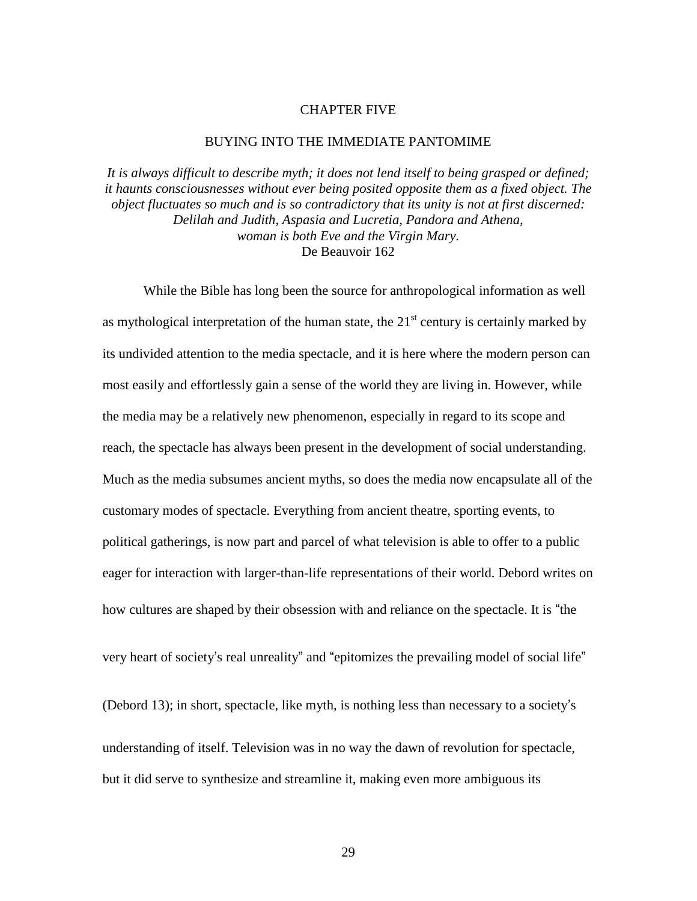#### CHAPTER FIVE

#### BUYING INTO THE IMMEDIATE PANTOMIME

*It is always difficult to describe myth; it does not lend itself to being grasped or defined; it haunts consciousnesses without ever being posited opposite them as a fixed object. The object fluctuates so much and is so contradictory that its unity is not at first discerned: Delilah and Judith, Aspasia and Lucretia, Pandora and Athena, woman is both Eve and the Virgin Mary.* De Beauvoir 162

While the Bible has long been the source for anthropological information as well as mythological interpretation of the human state, the  $21<sup>st</sup>$  century is certainly marked by its undivided attention to the media spectacle, and it is here where the modern person can most easily and effortlessly gain a sense of the world they are living in. However, while the media may be a relatively new phenomenon, especially in regard to its scope and reach, the spectacle has always been present in the development of social understanding. Much as the media subsumes ancient myths, so does the media now encapsulate all of the customary modes of spectacle. Everything from ancient theatre, sporting events, to political gatherings, is now part and parcel of what television is able to offer to a public eager for interaction with larger-than-life representations of their world. Debord writes on how cultures are shaped by their obsession with and reliance on the spectacle. It is "the

very heart of society's real unreality" and "epitomizes the prevailing model of social life"

(Debord 13); in short, spectacle, like myth, is nothing less than necessary to a society's understanding of itself. Television was in no way the dawn of revolution for spectacle, but it did serve to synthesize and streamline it, making even more ambiguous its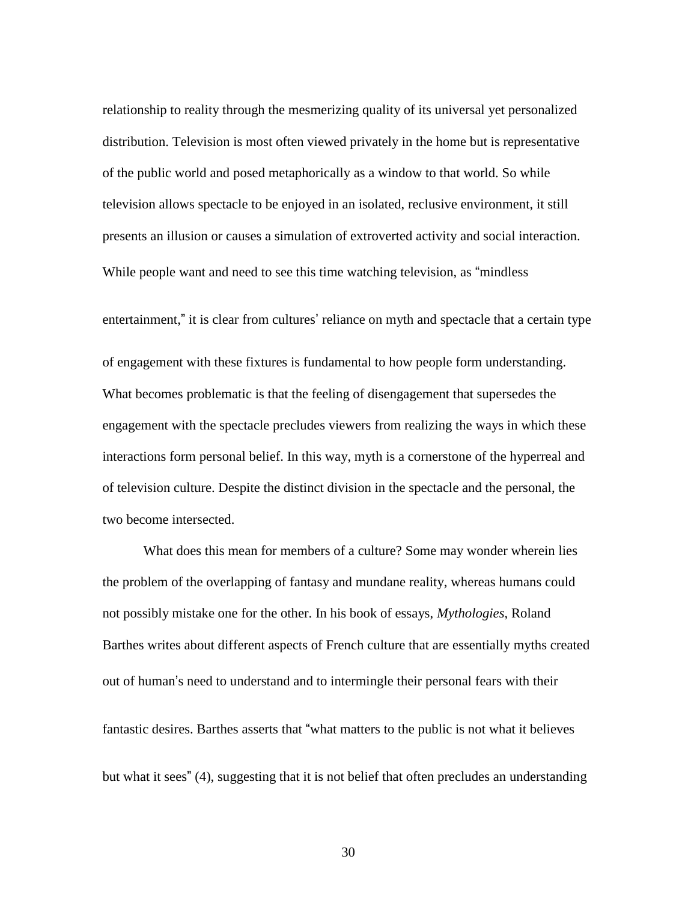relationship to reality through the mesmerizing quality of its universal yet personalized distribution. Television is most often viewed privately in the home but is representative of the public world and posed metaphorically as a window to that world. So while television allows spectacle to be enjoyed in an isolated, reclusive environment, it still presents an illusion or causes a simulation of extroverted activity and social interaction. While people want and need to see this time watching television, as "mindless

entertainment," it is clear from cultures' reliance on myth and spectacle that a certain type of engagement with these fixtures is fundamental to how people form understanding. What becomes problematic is that the feeling of disengagement that supersedes the engagement with the spectacle precludes viewers from realizing the ways in which these interactions form personal belief. In this way, myth is a cornerstone of the hyperreal and of television culture. Despite the distinct division in the spectacle and the personal, the two become intersected.

What does this mean for members of a culture? Some may wonder wherein lies the problem of the overlapping of fantasy and mundane reality, whereas humans could not possibly mistake one for the other. In his book of essays, *Mythologies*, Roland Barthes writes about different aspects of French culture that are essentially myths created out of human's need to understand and to intermingle their personal fears with their fantastic desires. Barthes asserts that "what matters to the public is not what it believes

but what it sees" (4), suggesting that it is not belief that often precludes an understanding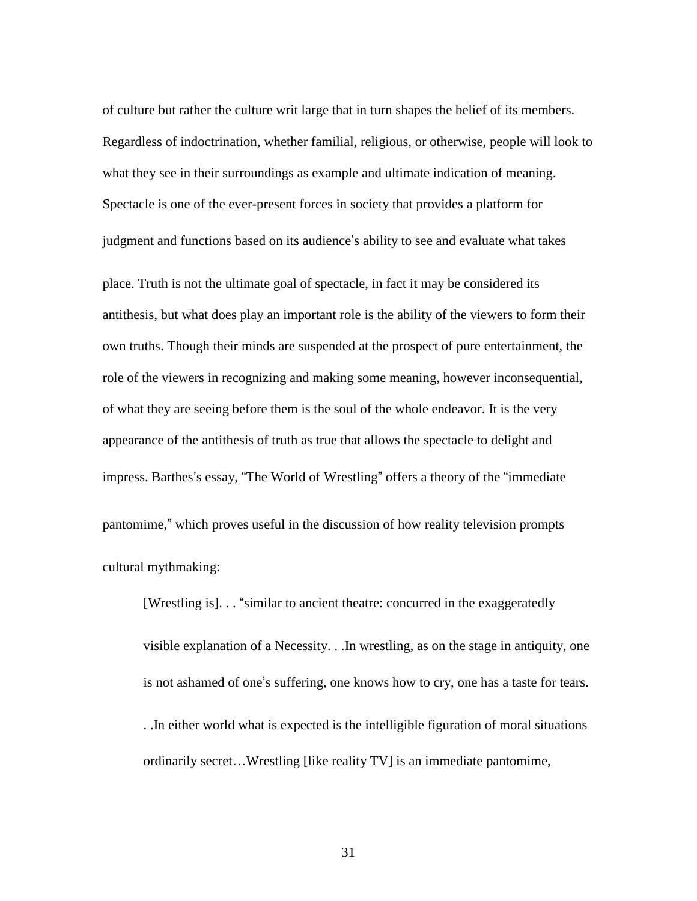of culture but rather the culture writ large that in turn shapes the belief of its members. Regardless of indoctrination, whether familial, religious, or otherwise, people will look to what they see in their surroundings as example and ultimate indication of meaning. Spectacle is one of the ever-present forces in society that provides a platform for judgment and functions based on its audience's ability to see and evaluate what takes

place. Truth is not the ultimate goal of spectacle, in fact it may be considered its antithesis, but what does play an important role is the ability of the viewers to form their own truths. Though their minds are suspended at the prospect of pure entertainment, the role of the viewers in recognizing and making some meaning, however inconsequential, of what they are seeing before them is the soul of the whole endeavor. It is the very appearance of the antithesis of truth as true that allows the spectacle to delight and impress. Barthes's essay, "The World of Wrestling" offers a theory of the "immediate pantomime," which proves useful in the discussion of how reality television prompts cultural mythmaking:

[Wrestling is]. . . "similar to ancient theatre: concurred in the exaggeratedly visible explanation of a Necessity. . .In wrestling, as on the stage in antiquity, one is not ashamed of one's suffering, one knows how to cry, one has a taste for tears. . .In either world what is expected is the intelligible figuration of moral situations ordinarily secret…Wrestling [like reality TV] is an immediate pantomime,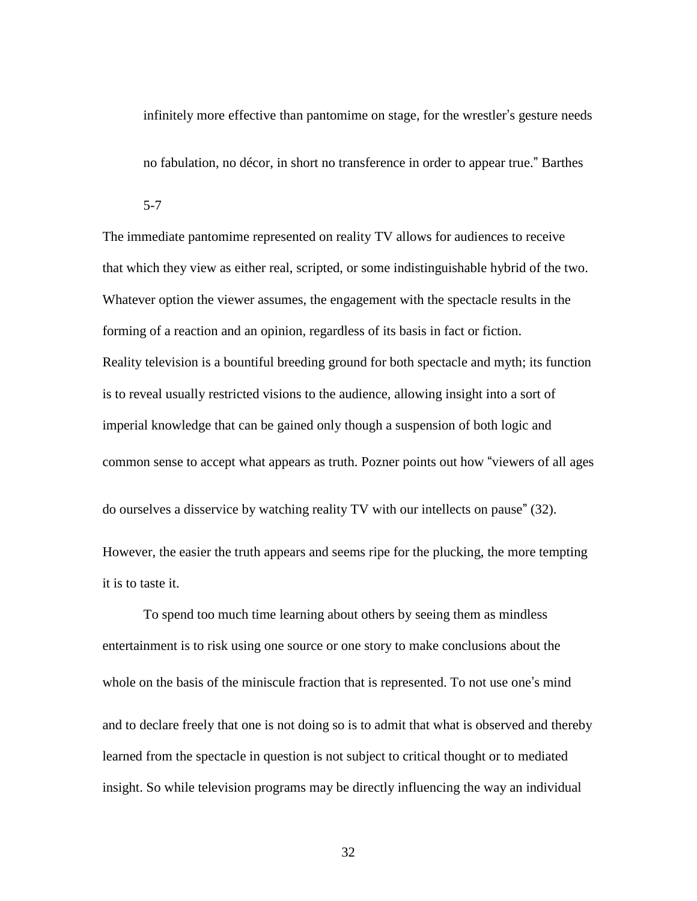infinitely more effective than pantomime on stage, for the wrestler's gesture needs

no fabulation, no décor, in short no transference in order to appear true." Barthes

5-7

The immediate pantomime represented on reality TV allows for audiences to receive that which they view as either real, scripted, or some indistinguishable hybrid of the two. Whatever option the viewer assumes, the engagement with the spectacle results in the forming of a reaction and an opinion, regardless of its basis in fact or fiction. Reality television is a bountiful breeding ground for both spectacle and myth; its function is to reveal usually restricted visions to the audience, allowing insight into a sort of imperial knowledge that can be gained only though a suspension of both logic and common sense to accept what appears as truth. Pozner points out how "viewers of all ages

do ourselves a disservice by watching reality TV with our intellects on pause" (32).

However, the easier the truth appears and seems ripe for the plucking, the more tempting it is to taste it.

To spend too much time learning about others by seeing them as mindless entertainment is to risk using one source or one story to make conclusions about the whole on the basis of the miniscule fraction that is represented. To not use one's mind and to declare freely that one is not doing so is to admit that what is observed and thereby learned from the spectacle in question is not subject to critical thought or to mediated insight. So while television programs may be directly influencing the way an individual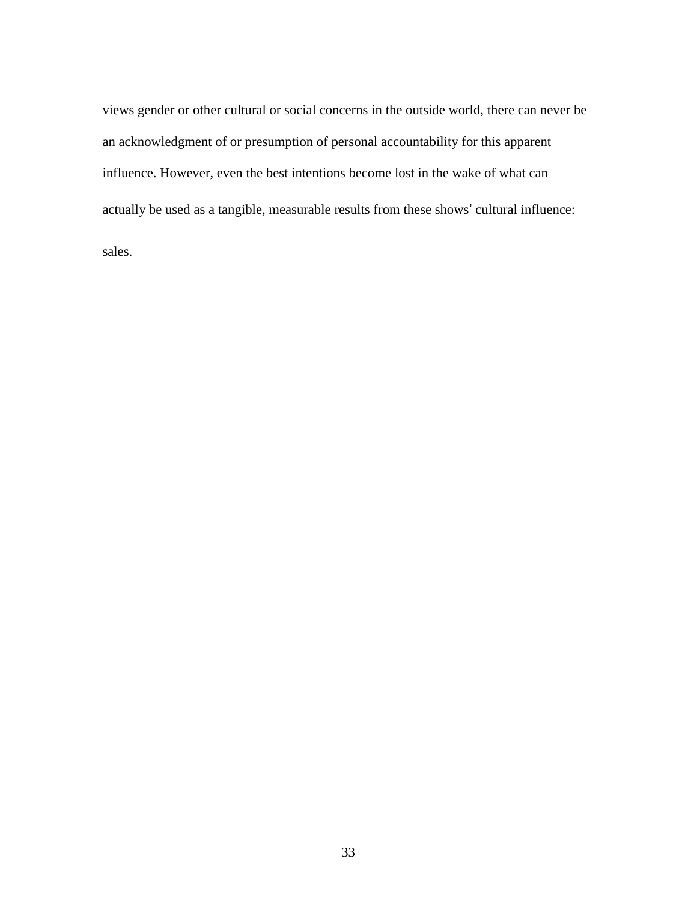views gender or other cultural or social concerns in the outside world, there can never be an acknowledgment of or presumption of personal accountability for this apparent influence. However, even the best intentions become lost in the wake of what can actually be used as a tangible, measurable results from these shows' cultural influence:

sales.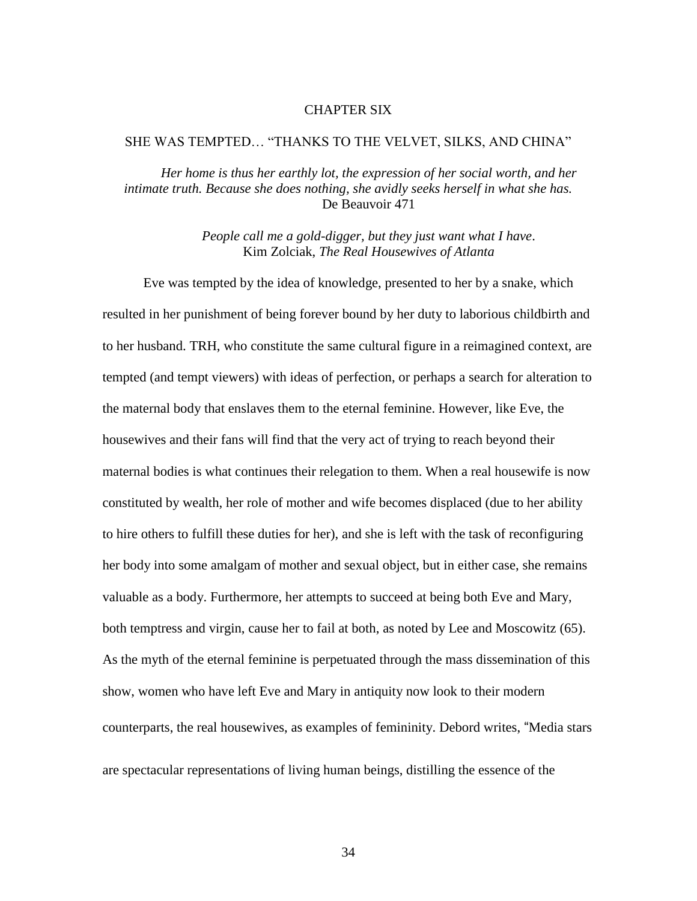#### CHAPTER SIX

#### SHE WAS TEMPTED… "THANKS TO THE VELVET, SILKS, AND CHINA"

*Her home is thus her earthly lot, the expression of her social worth, and her intimate truth. Because she does nothing, she avidly seeks herself in what she has.* De Beauvoir 471

> *People call me a gold-digger, but they just want what I have*. Kim Zolciak, *The Real Housewives of Atlanta*

Eve was tempted by the idea of knowledge, presented to her by a snake, which resulted in her punishment of being forever bound by her duty to laborious childbirth and to her husband. TRH, who constitute the same cultural figure in a reimagined context, are tempted (and tempt viewers) with ideas of perfection, or perhaps a search for alteration to the maternal body that enslaves them to the eternal feminine. However, like Eve, the housewives and their fans will find that the very act of trying to reach beyond their maternal bodies is what continues their relegation to them. When a real housewife is now constituted by wealth, her role of mother and wife becomes displaced (due to her ability to hire others to fulfill these duties for her), and she is left with the task of reconfiguring her body into some amalgam of mother and sexual object, but in either case, she remains valuable as a body. Furthermore, her attempts to succeed at being both Eve and Mary, both temptress and virgin, cause her to fail at both, as noted by Lee and Moscowitz (65). As the myth of the eternal feminine is perpetuated through the mass dissemination of this show, women who have left Eve and Mary in antiquity now look to their modern counterparts, the real housewives, as examples of femininity. Debord writes, "Media stars are spectacular representations of living human beings, distilling the essence of the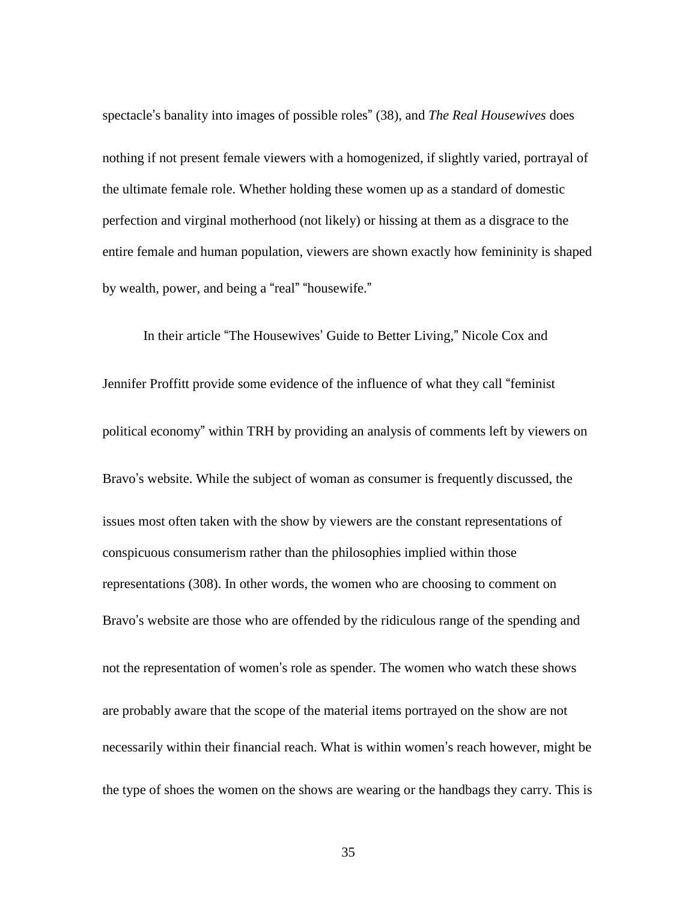spectacle's banality into images of possible roles" (38), and *The Real Housewives* does nothing if not present female viewers with a homogenized, if slightly varied, portrayal of the ultimate female role. Whether holding these women up as a standard of domestic perfection and virginal motherhood (not likely) or hissing at them as a disgrace to the entire female and human population, viewers are shown exactly how femininity is shaped by wealth, power, and being a "real" "housewife."

In their article "The Housewives' Guide to Better Living," Nicole Cox and Jennifer Proffitt provide some evidence of the influence of what they call "feminist political economy" within TRH by providing an analysis of comments left by viewers on Bravo's website. While the subject of woman as consumer is frequently discussed, the issues most often taken with the show by viewers are the constant representations of conspicuous consumerism rather than the philosophies implied within those representations (308). In other words, the women who are choosing to comment on Bravo's website are those who are offended by the ridiculous range of the spending and

not the representation of women's role as spender. The women who watch these shows are probably aware that the scope of the material items portrayed on the show are not necessarily within their financial reach. What is within women's reach however, might be the type of shoes the women on the shows are wearing or the handbags they carry. This is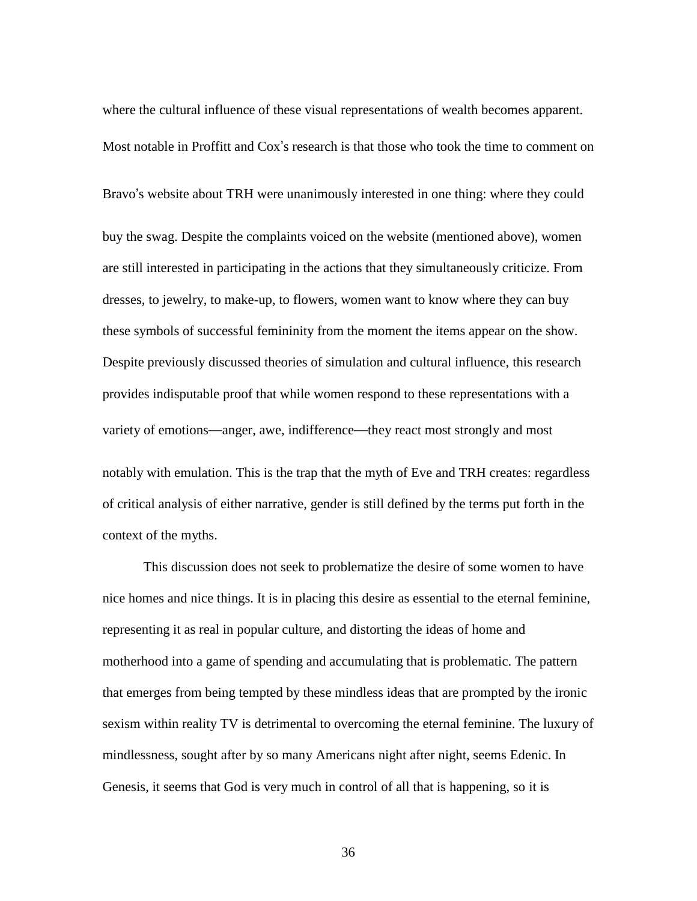where the cultural influence of these visual representations of wealth becomes apparent. Most notable in Proffitt and Cox's research is that those who took the time to comment on Bravo's website about TRH were unanimously interested in one thing: where they could buy the swag. Despite the complaints voiced on the website (mentioned above), women are still interested in participating in the actions that they simultaneously criticize. From dresses, to jewelry, to make-up, to flowers, women want to know where they can buy these symbols of successful femininity from the moment the items appear on the show. Despite previously discussed theories of simulation and cultural influence, this research provides indisputable proof that while women respond to these representations with a variety of emotions—anger, awe, indifference—they react most strongly and most notably with emulation. This is the trap that the myth of Eve and TRH creates: regardless of critical analysis of either narrative, gender is still defined by the terms put forth in the context of the myths.

This discussion does not seek to problematize the desire of some women to have nice homes and nice things. It is in placing this desire as essential to the eternal feminine, representing it as real in popular culture, and distorting the ideas of home and motherhood into a game of spending and accumulating that is problematic. The pattern that emerges from being tempted by these mindless ideas that are prompted by the ironic sexism within reality TV is detrimental to overcoming the eternal feminine. The luxury of mindlessness, sought after by so many Americans night after night, seems Edenic. In Genesis, it seems that God is very much in control of all that is happening, so it is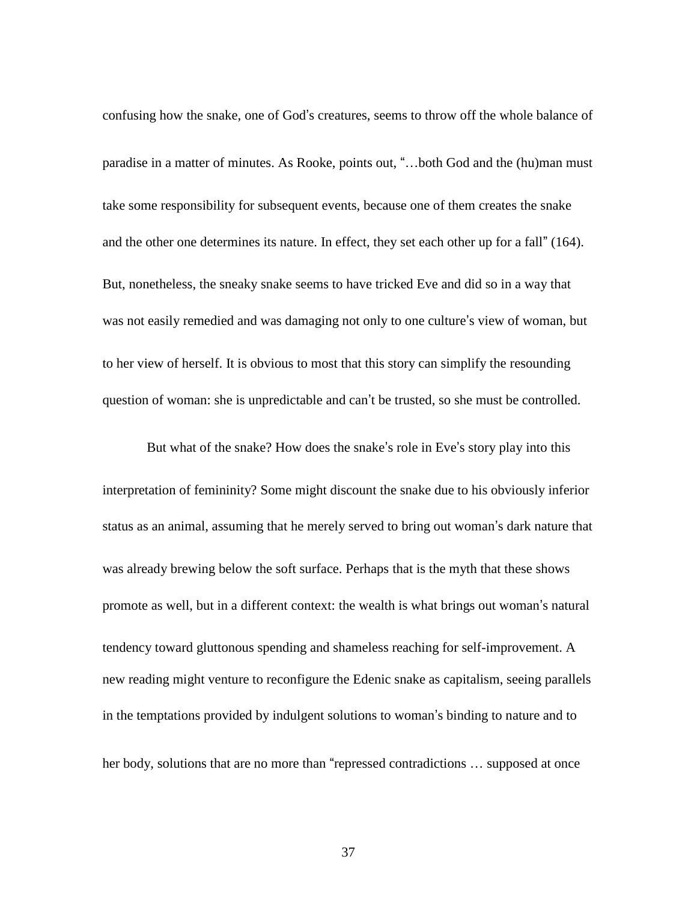confusing how the snake, one of God's creatures, seems to throw off the whole balance of paradise in a matter of minutes. As Rooke, points out, "…both God and the (hu)man must take some responsibility for subsequent events, because one of them creates the snake and the other one determines its nature. In effect, they set each other up for a fall" (164). But, nonetheless, the sneaky snake seems to have tricked Eve and did so in a way that was not easily remedied and was damaging not only to one culture's view of woman, but to her view of herself. It is obvious to most that this story can simplify the resounding question of woman: she is unpredictable and can't be trusted, so she must be controlled.

But what of the snake? How does the snake's role in Eve's story play into this interpretation of femininity? Some might discount the snake due to his obviously inferior status as an animal, assuming that he merely served to bring out woman's dark nature that was already brewing below the soft surface. Perhaps that is the myth that these shows promote as well, but in a different context: the wealth is what brings out woman's natural tendency toward gluttonous spending and shameless reaching for self-improvement. A new reading might venture to reconfigure the Edenic snake as capitalism, seeing parallels in the temptations provided by indulgent solutions to woman's binding to nature and to her body, solutions that are no more than "repressed contradictions ... supposed at once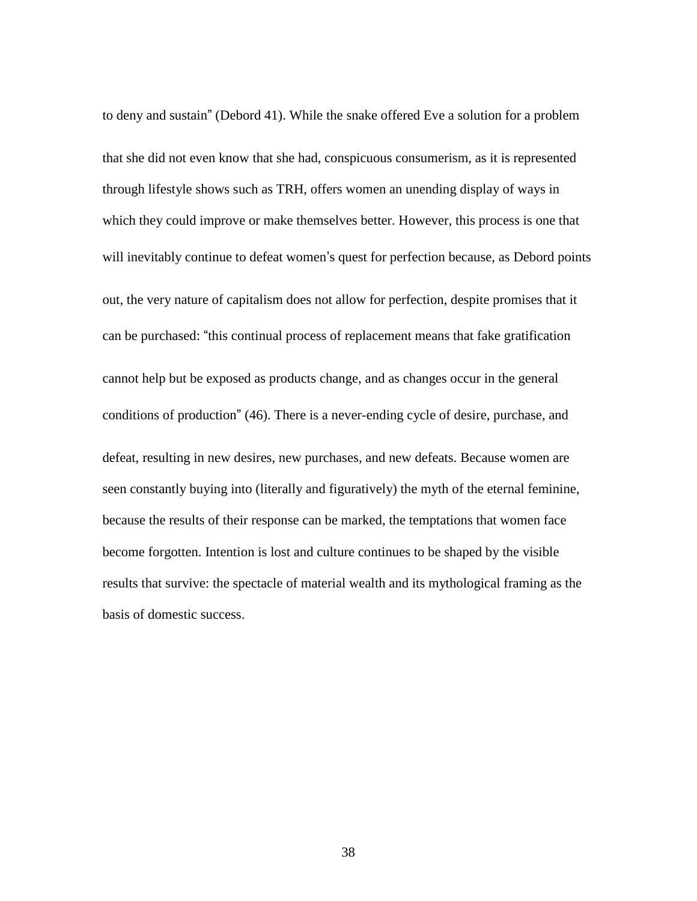to deny and sustain" (Debord 41). While the snake offered Eve a solution for a problem that she did not even know that she had, conspicuous consumerism, as it is represented through lifestyle shows such as TRH, offers women an unending display of ways in which they could improve or make themselves better. However, this process is one that will inevitably continue to defeat women's quest for perfection because, as Debord points out, the very nature of capitalism does not allow for perfection, despite promises that it can be purchased: "this continual process of replacement means that fake gratification cannot help but be exposed as products change, and as changes occur in the general conditions of production" (46). There is a never-ending cycle of desire, purchase, and defeat, resulting in new desires, new purchases, and new defeats. Because women are seen constantly buying into (literally and figuratively) the myth of the eternal feminine, because the results of their response can be marked, the temptations that women face become forgotten. Intention is lost and culture continues to be shaped by the visible results that survive: the spectacle of material wealth and its mythological framing as the basis of domestic success.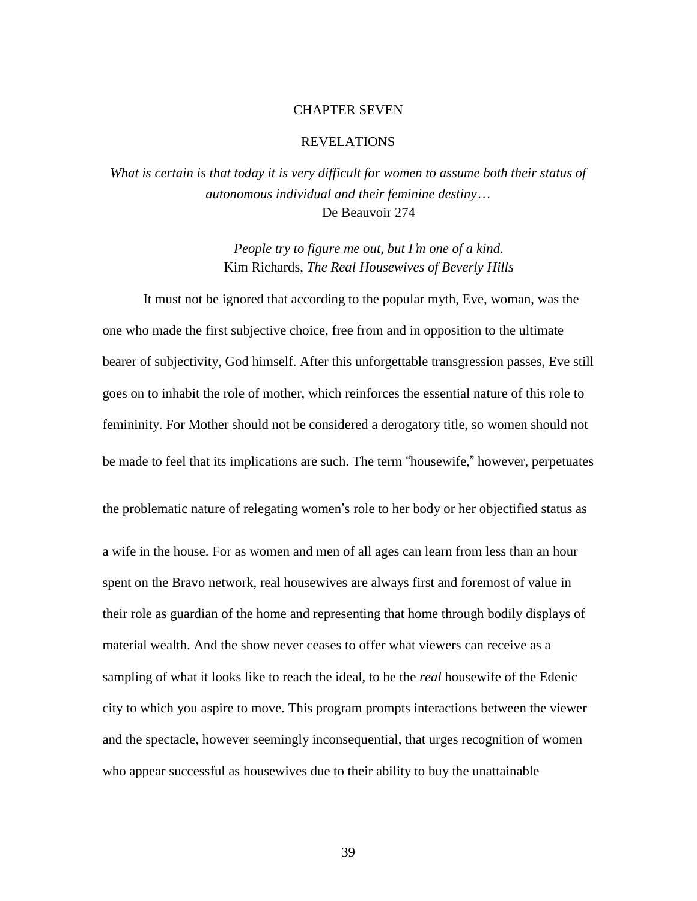#### CHAPTER SEVEN

#### REVELATIONS

*What is certain is that today it is very difficult for women to assume both their status of autonomous individual and their feminine destiny*… De Beauvoir 274

> *People try to figure me out, but I*'*m one of a kind*. Kim Richards, *The Real Housewives of Beverly Hills*

It must not be ignored that according to the popular myth, Eve, woman, was the one who made the first subjective choice, free from and in opposition to the ultimate bearer of subjectivity, God himself. After this unforgettable transgression passes, Eve still goes on to inhabit the role of mother, which reinforces the essential nature of this role to femininity. For Mother should not be considered a derogatory title, so women should not be made to feel that its implications are such. The term "housewife," however, perpetuates

the problematic nature of relegating women's role to her body or her objectified status as a wife in the house. For as women and men of all ages can learn from less than an hour spent on the Bravo network, real housewives are always first and foremost of value in their role as guardian of the home and representing that home through bodily displays of material wealth. And the show never ceases to offer what viewers can receive as a sampling of what it looks like to reach the ideal, to be the *real* housewife of the Edenic city to which you aspire to move. This program prompts interactions between the viewer and the spectacle, however seemingly inconsequential, that urges recognition of women who appear successful as housewives due to their ability to buy the unattainable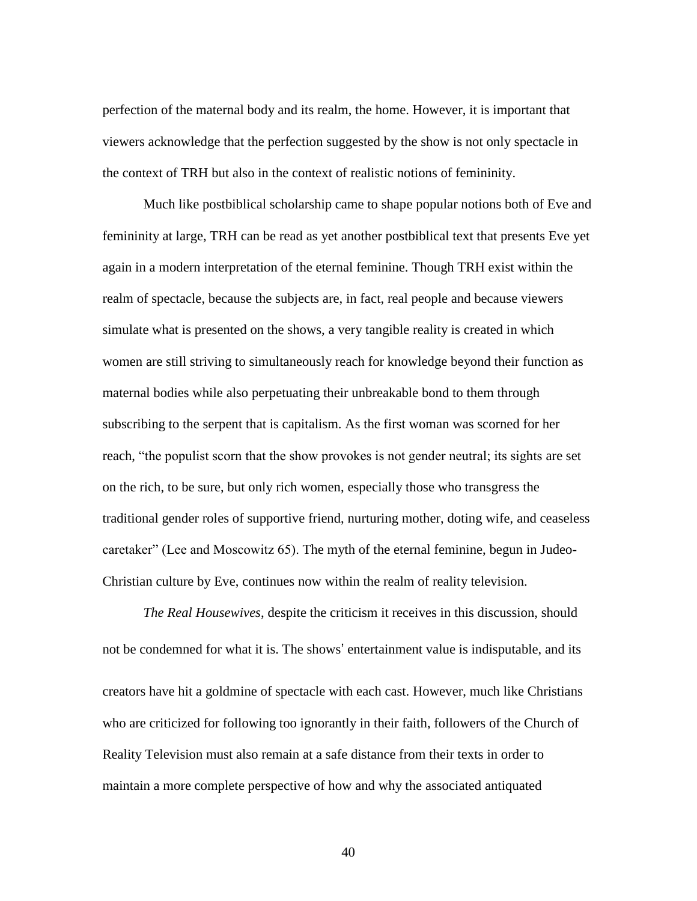perfection of the maternal body and its realm, the home. However, it is important that viewers acknowledge that the perfection suggested by the show is not only spectacle in the context of TRH but also in the context of realistic notions of femininity.

Much like postbiblical scholarship came to shape popular notions both of Eve and femininity at large, TRH can be read as yet another postbiblical text that presents Eve yet again in a modern interpretation of the eternal feminine. Though TRH exist within the realm of spectacle, because the subjects are, in fact, real people and because viewers simulate what is presented on the shows, a very tangible reality is created in which women are still striving to simultaneously reach for knowledge beyond their function as maternal bodies while also perpetuating their unbreakable bond to them through subscribing to the serpent that is capitalism. As the first woman was scorned for her reach, "the populist scorn that the show provokes is not gender neutral; its sights are set on the rich, to be sure, but only rich women, especially those who transgress the traditional gender roles of supportive friend, nurturing mother, doting wife, and ceaseless caretaker" (Lee and Moscowitz 65). The myth of the eternal feminine, begun in Judeo-Christian culture by Eve, continues now within the realm of reality television.

*The Real Housewives*, despite the criticism it receives in this discussion, should not be condemned for what it is. The shows' entertainment value is indisputable, and its creators have hit a goldmine of spectacle with each cast. However, much like Christians who are criticized for following too ignorantly in their faith, followers of the Church of Reality Television must also remain at a safe distance from their texts in order to maintain a more complete perspective of how and why the associated antiquated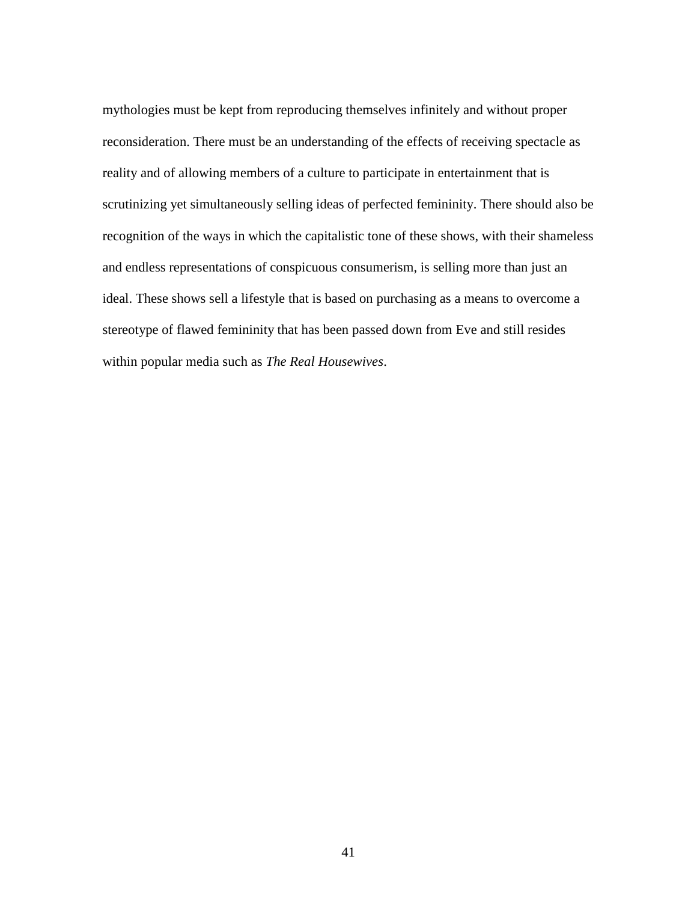mythologies must be kept from reproducing themselves infinitely and without proper reconsideration. There must be an understanding of the effects of receiving spectacle as reality and of allowing members of a culture to participate in entertainment that is scrutinizing yet simultaneously selling ideas of perfected femininity. There should also be recognition of the ways in which the capitalistic tone of these shows, with their shameless and endless representations of conspicuous consumerism, is selling more than just an ideal. These shows sell a lifestyle that is based on purchasing as a means to overcome a stereotype of flawed femininity that has been passed down from Eve and still resides within popular media such as *The Real Housewives*.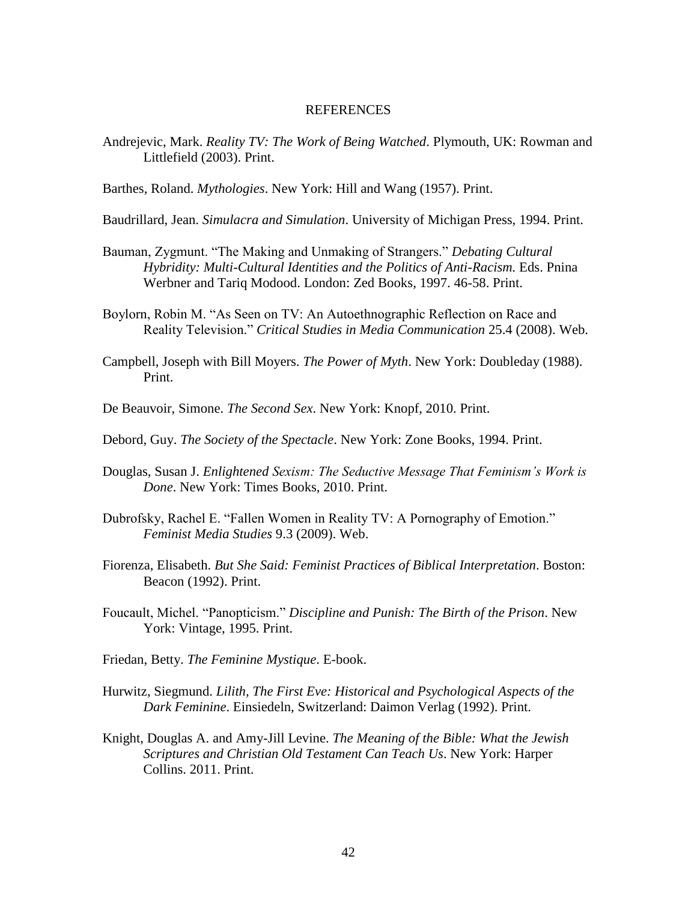#### REFERENCES

- Andrejevic, Mark. *Reality TV: The Work of Being Watched*. Plymouth, UK: Rowman and Littlefield (2003). Print.
- Barthes, Roland. *Mythologies*. New York: Hill and Wang (1957). Print.
- Baudrillard, Jean. *Simulacra and Simulation*. University of Michigan Press, 1994. Print.
- Bauman, Zygmunt. "The Making and Unmaking of Strangers." *Debating Cultural Hybridity: Multi-Cultural Identities and the Politics of Anti-Racism.* Eds. Pnina Werbner and Tariq Modood. London: Zed Books, 1997. 46-58. Print.
- Boylorn, Robin M. "As Seen on TV: An Autoethnographic Reflection on Race and Reality Television." *Critical Studies in Media Communication* 25.4 (2008). Web.
- Campbell, Joseph with Bill Moyers. *The Power of Myth*. New York: Doubleday (1988). Print.
- De Beauvoir, Simone. *The Second Sex*. New York: Knopf, 2010. Print.
- Debord, Guy. *The Society of the Spectacle*. New York: Zone Books, 1994. Print.
- Douglas, Susan J. *Enlightened Sexism: The Seductive Message That Feminism's Work is Done*. New York: Times Books, 2010. Print.
- Dubrofsky, Rachel E. "Fallen Women in Reality TV: A Pornography of Emotion." *Feminist Media Studies* 9.3 (2009). Web.
- Fiorenza, Elisabeth. *But She Said: Feminist Practices of Biblical Interpretation*. Boston: Beacon (1992). Print.
- Foucault, Michel. "Panopticism." *Discipline and Punish: The Birth of the Prison*. New York: Vintage, 1995. Print.
- Friedan, Betty. *The Feminine Mystique*. E-book.
- Hurwitz, Siegmund. *Lilith, The First Eve: Historical and Psychological Aspects of the Dark Feminine*. Einsiedeln, Switzerland: Daimon Verlag (1992). Print.
- Knight, Douglas A. and Amy-Jill Levine. *The Meaning of the Bible: What the Jewish Scriptures and Christian Old Testament Can Teach Us*. New York: Harper Collins. 2011. Print.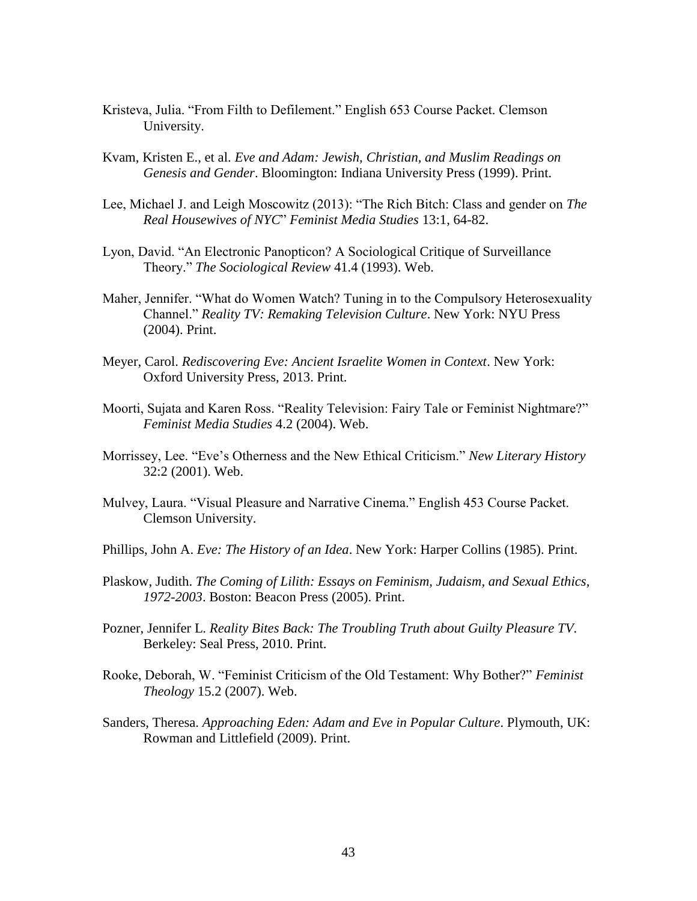- Kristeva, Julia. "From Filth to Defilement." English 653 Course Packet. Clemson University.
- Kvam, Kristen E., et al. *Eve and Adam: Jewish, Christian, and Muslim Readings on Genesis and Gender*. Bloomington: Indiana University Press (1999). Print.
- Lee, Michael J. and Leigh Moscowitz (2013): "The Rich Bitch: Class and gender on *The Real Housewives of NYC*" *Feminist Media Studies* 13:1, 64-82.
- Lyon, David. "An Electronic Panopticon? A Sociological Critique of Surveillance Theory." *The Sociological Review* 41.4 (1993). Web.
- Maher, Jennifer. "What do Women Watch? Tuning in to the Compulsory Heterosexuality Channel." *Reality TV: Remaking Television Culture*. New York: NYU Press (2004). Print.
- Meyer, Carol. *Rediscovering Eve: Ancient Israelite Women in Context*. New York: Oxford University Press, 2013. Print.
- Moorti, Sujata and Karen Ross. "Reality Television: Fairy Tale or Feminist Nightmare?" *Feminist Media Studies* 4.2 (2004). Web.
- Morrissey, Lee. "Eve's Otherness and the New Ethical Criticism." *New Literary History* 32:2 (2001). Web.
- Mulvey, Laura. "Visual Pleasure and Narrative Cinema." English 453 Course Packet. Clemson University.
- Phillips, John A. *Eve: The History of an Idea*. New York: Harper Collins (1985). Print.
- Plaskow, Judith. *The Coming of Lilith: Essays on Feminism, Judaism, and Sexual Ethics, 1972-2003*. Boston: Beacon Press (2005). Print.
- Pozner, Jennifer L. *Reality Bites Back: The Troubling Truth about Guilty Pleasure TV*. Berkeley: Seal Press, 2010. Print.
- Rooke, Deborah, W. "Feminist Criticism of the Old Testament: Why Bother?" *Feminist Theology* 15.2 (2007). Web.
- Sanders, Theresa. *Approaching Eden: Adam and Eve in Popular Culture*. Plymouth, UK: Rowman and Littlefield (2009). Print.